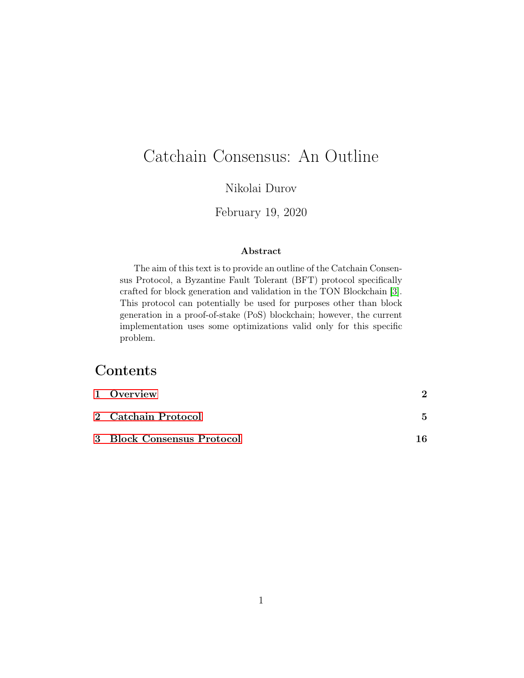# Catchain Consensus: An Outline

### Nikolai Durov

#### February 19, 2020

#### Abstract

The aim of this text is to provide an outline of the Catchain Consensus Protocol, a Byzantine Fault Tolerant (BFT) protocol specifically crafted for block generation and validation in the TON Blockchain [\[3\]](#page-38-0). This protocol can potentially be used for purposes other than block generation in a proof-of-stake (PoS) blockchain; however, the current implementation uses some optimizations valid only for this specific problem.

# Contents

| 1 Overview                 |     |
|----------------------------|-----|
| 2 Catchain Protocol        | 5.  |
| 3 Block Consensus Protocol | 1 6 |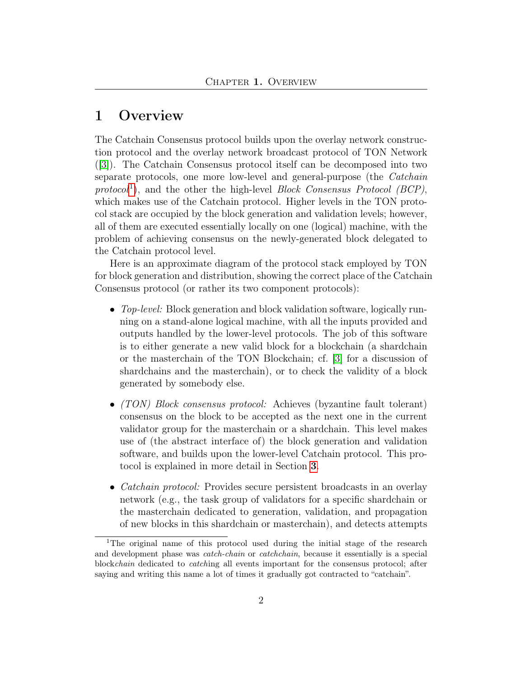### <span id="page-1-0"></span>1 Overview

The Catchain Consensus protocol builds upon the overlay network construction protocol and the overlay network broadcast protocol of TON Network ([\[3\]](#page-38-0)). The Catchain Consensus protocol itself can be decomposed into two separate protocols, one more low-level and general-purpose (the Catchain protocol<sup>[1](#page-1-1)</sup>), and the other the high-level Block Consensus Protocol (BCP), which makes use of the Catchain protocol. Higher levels in the TON protocol stack are occupied by the block generation and validation levels; however, all of them are executed essentially locally on one (logical) machine, with the problem of achieving consensus on the newly-generated block delegated to the Catchain protocol level.

Here is an approximate diagram of the protocol stack employed by TON for block generation and distribution, showing the correct place of the Catchain Consensus protocol (or rather its two component protocols):

- Top-level: Block generation and block validation software, logically running on a stand-alone logical machine, with all the inputs provided and outputs handled by the lower-level protocols. The job of this software is to either generate a new valid block for a blockchain (a shardchain or the masterchain of the TON Blockchain; cf. [\[3\]](#page-38-0) for a discussion of shardchains and the masterchain), or to check the validity of a block generated by somebody else.
- *(TON)* Block consensus protocol: Achieves (byzantine fault tolerant) consensus on the block to be accepted as the next one in the current validator group for the masterchain or a shardchain. This level makes use of (the abstract interface of) the block generation and validation software, and builds upon the lower-level Catchain protocol. This protocol is explained in more detail in Section [3](#page-15-0).
- *Catchain protocol:* Provides secure persistent broadcasts in an overlay network (e.g., the task group of validators for a specific shardchain or the masterchain dedicated to generation, validation, and propagation of new blocks in this shardchain or masterchain), and detects attempts

<span id="page-1-1"></span><sup>&</sup>lt;sup>1</sup>The original name of this protocol used during the initial stage of the research and development phase was *catch-chain* or *catchchain*, because it essentially is a special blockchain dedicated to catching all events important for the consensus protocol; after saying and writing this name a lot of times it gradually got contracted to "catchain".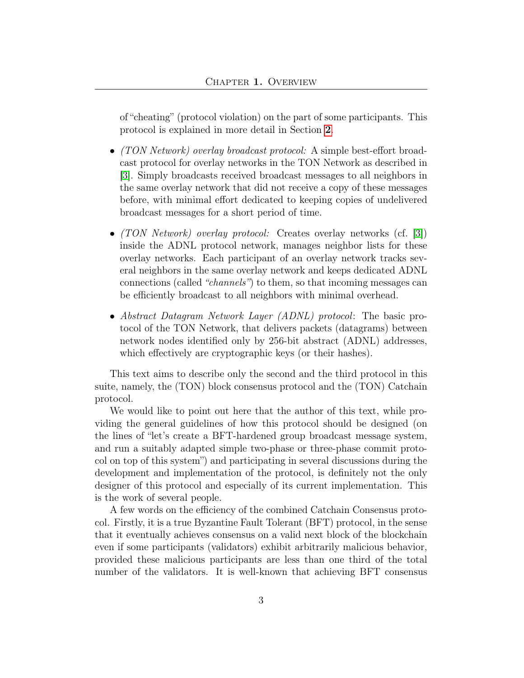of "cheating" (protocol violation) on the part of some participants. This protocol is explained in more detail in Section [2](#page-4-0).

- (TON Network) overlay broadcast protocol: A simple best-effort broadcast protocol for overlay networks in the TON Network as described in [\[3\]](#page-38-0). Simply broadcasts received broadcast messages to all neighbors in the same overlay network that did not receive a copy of these messages before, with minimal effort dedicated to keeping copies of undelivered broadcast messages for a short period of time.
- *(TON Network)* overlay protocol: Creates overlay networks (cf. [\[3\]](#page-38-0)) inside the ADNL protocol network, manages neighbor lists for these overlay networks. Each participant of an overlay network tracks several neighbors in the same overlay network and keeps dedicated ADNL connections (called "channels") to them, so that incoming messages can be efficiently broadcast to all neighbors with minimal overhead.
- Abstract Datagram Network Layer (ADNL) protocol: The basic protocol of the TON Network, that delivers packets (datagrams) between network nodes identified only by 256-bit abstract (ADNL) addresses, which effectively are cryptographic keys (or their hashes).

This text aims to describe only the second and the third protocol in this suite, namely, the (TON) block consensus protocol and the (TON) Catchain protocol.

We would like to point out here that the author of this text, while providing the general guidelines of how this protocol should be designed (on the lines of "let's create a BFT-hardened group broadcast message system, and run a suitably adapted simple two-phase or three-phase commit protocol on top of this system") and participating in several discussions during the development and implementation of the protocol, is definitely not the only designer of this protocol and especially of its current implementation. This is the work of several people.

A few words on the efficiency of the combined Catchain Consensus protocol. Firstly, it is a true Byzantine Fault Tolerant (BFT) protocol, in the sense that it eventually achieves consensus on a valid next block of the blockchain even if some participants (validators) exhibit arbitrarily malicious behavior, provided these malicious participants are less than one third of the total number of the validators. It is well-known that achieving BFT consensus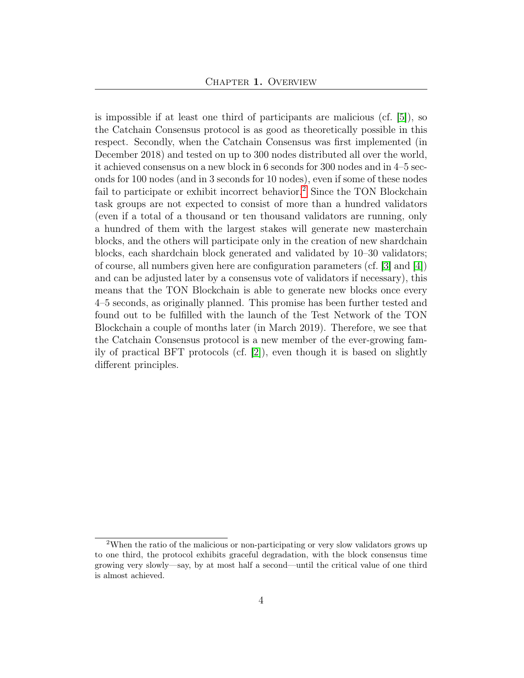is impossible if at least one third of participants are malicious (cf. [\[5\]](#page-38-1)), so the Catchain Consensus protocol is as good as theoretically possible in this respect. Secondly, when the Catchain Consensus was first implemented (in December 2018) and tested on up to 300 nodes distributed all over the world, it achieved consensus on a new block in 6 seconds for 300 nodes and in 4–5 seconds for 100 nodes (and in 3 seconds for 10 nodes), even if some of these nodes fail to participate or exhibit incorrect behavior.<sup>[2](#page-3-0)</sup> Since the TON Blockchain task groups are not expected to consist of more than a hundred validators (even if a total of a thousand or ten thousand validators are running, only a hundred of them with the largest stakes will generate new masterchain blocks, and the others will participate only in the creation of new shardchain blocks, each shardchain block generated and validated by 10–30 validators; of course, all numbers given here are configuration parameters (cf. [\[3\]](#page-38-0) and [\[4\]](#page-38-2)) and can be adjusted later by a consensus vote of validators if necessary), this means that the TON Blockchain is able to generate new blocks once every 4–5 seconds, as originally planned. This promise has been further tested and found out to be fulfilled with the launch of the Test Network of the TON Blockchain a couple of months later (in March 2019). Therefore, we see that the Catchain Consensus protocol is a new member of the ever-growing family of practical BFT protocols (cf. [\[2\]](#page-38-3)), even though it is based on slightly different principles.

<span id="page-3-0"></span><sup>2</sup>When the ratio of the malicious or non-participating or very slow validators grows up to one third, the protocol exhibits graceful degradation, with the block consensus time growing very slowly—say, by at most half a second—until the critical value of one third is almost achieved.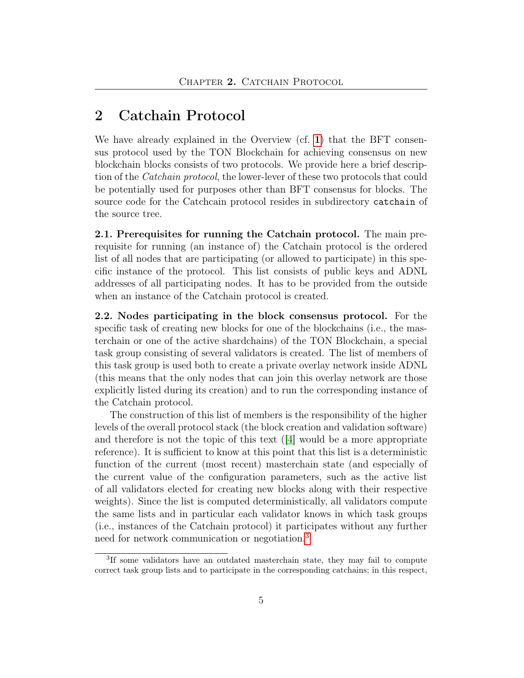## <span id="page-4-0"></span>2 Catchain Protocol

We have already explained in the Overview (cf. [1](#page-1-0)) that the BFT consensus protocol used by the TON Blockchain for achieving consensus on new blockchain blocks consists of two protocols. We provide here a brief description of the Catchain protocol, the lower-lever of these two protocols that could be potentially used for purposes other than BFT consensus for blocks. The source code for the Catchcain protocol resides in subdirectory catchain of the source tree.

<span id="page-4-2"></span>2.1. Prerequisites for running the Catchain protocol. The main prerequisite for running (an instance of) the Catchain protocol is the ordered list of all nodes that are participating (or allowed to participate) in this specific instance of the protocol. This list consists of public keys and ADNL addresses of all participating nodes. It has to be provided from the outside when an instance of the Catchain protocol is created.

<span id="page-4-3"></span>2.2. Nodes participating in the block consensus protocol. For the specific task of creating new blocks for one of the blockchains (i.e., the masterchain or one of the active shardchains) of the TON Blockchain, a special task group consisting of several validators is created. The list of members of this task group is used both to create a private overlay network inside ADNL (this means that the only nodes that can join this overlay network are those explicitly listed during its creation) and to run the corresponding instance of the Catchain protocol.

The construction of this list of members is the responsibility of the higher levels of the overall protocol stack (the block creation and validation software) and therefore is not the topic of this text  $(4)$  would be a more appropriate reference). It is sufficient to know at this point that this list is a deterministic function of the current (most recent) masterchain state (and especially of the current value of the configuration parameters, such as the active list of all validators elected for creating new blocks along with their respective weights). Since the list is computed deterministically, all validators compute the same lists and in particular each validator knows in which task groups (i.e., instances of the Catchain protocol) it participates without any further need for network communication or negotiation.[3](#page-4-1)

<span id="page-4-1"></span><sup>&</sup>lt;sup>3</sup>If some validators have an outdated masterchain state, they may fail to compute correct task group lists and to participate in the corresponding catchains; in this respect,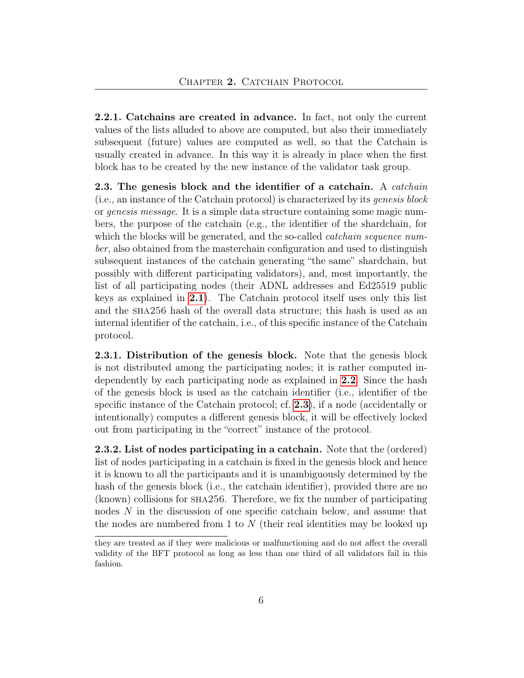2.2.1. Catchains are created in advance. In fact, not only the current values of the lists alluded to above are computed, but also their immediately subsequent (future) values are computed as well, so that the Catchain is usually created in advance. In this way it is already in place when the first block has to be created by the new instance of the validator task group.

<span id="page-5-0"></span>2.3. The genesis block and the identifier of a catchain. A *catchain* (i.e., an instance of the Catchain protocol) is characterized by its genesis block or genesis message. It is a simple data structure containing some magic numbers, the purpose of the catchain (e.g., the identifier of the shardchain, for which the blocks will be generated, and the so-called *catchain sequence num*ber, also obtained from the masterchain configuration and used to distinguish subsequent instances of the catchain generating "the same" shardchain, but possibly with different participating validators), and, most importantly, the list of all participating nodes (their ADNL addresses and Ed25519 public keys as explained in [2.1](#page-4-2)). The Catchain protocol itself uses only this list and the sha256 hash of the overall data structure; this hash is used as an internal identifier of the catchain, i.e., of this specific instance of the Catchain protocol.

2.3.1. Distribution of the genesis block. Note that the genesis block is not distributed among the participating nodes; it is rather computed independently by each participating node as explained in [2.2](#page-4-3). Since the hash of the genesis block is used as the catchain identifier (i.e., identifier of the specific instance of the Catchain protocol; cf. [2.3](#page-5-0)), if a node (accidentally or intentionally) computes a different genesis block, it will be effectively locked out from participating in the "correct" instance of the protocol.

2.3.2. List of nodes participating in a catchain. Note that the (ordered) list of nodes participating in a catchain is fixed in the genesis block and hence it is known to all the participants and it is unambiguously determined by the hash of the genesis block (i.e., the catchain identifier), provided there are no (known) collisions for sha256. Therefore, we fix the number of participating nodes N in the discussion of one specific catchain below, and assume that the nodes are numbered from 1 to  $N$  (their real identities may be looked up

they are treated as if they were malicious or malfunctioning and do not affect the overall validity of the BFT protocol as long as less than one third of all validators fail in this fashion.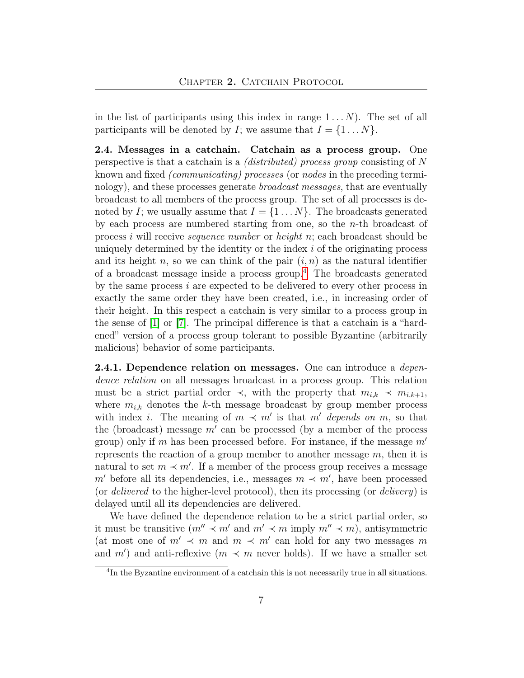in the list of participants using this index in range  $1 \dots N$ ). The set of all participants will be denoted by I; we assume that  $I = \{1 \dots N\}.$ 

2.4. Messages in a catchain. Catchain as a process group. One perspective is that a catchain is a (distributed) process group consisting of N known and fixed (communicating) processes (or nodes in the preceding terminology), and these processes generate broadcast messages, that are eventually broadcast to all members of the process group. The set of all processes is denoted by I; we usually assume that  $I = \{1 \dots N\}$ . The broadcasts generated by each process are numbered starting from one, so the  $n$ -th broadcast of process i will receive *sequence number* or *height*  $n$ ; each broadcast should be uniquely determined by the identity or the index  $i$  of the originating process and its height n, so we can think of the pair  $(i, n)$  as the natural identifier of a broadcast message inside a process group.[4](#page-6-0) The broadcasts generated by the same process  $i$  are expected to be delivered to every other process in exactly the same order they have been created, i.e., in increasing order of their height. In this respect a catchain is very similar to a process group in the sense of [\[1\]](#page-38-4) or [\[7\]](#page-38-5). The principal difference is that a catchain is a "hardened" version of a process group tolerant to possible Byzantine (arbitrarily malicious) behavior of some participants.

**2.4.1. Dependence relation on messages.** One can introduce a *depen*dence relation on all messages broadcast in a process group. This relation must be a strict partial order  $\prec$ , with the property that  $m_{i,k} \prec m_{i,k+1}$ , where  $m_{i,k}$  denotes the k-th message broadcast by group member process with index *i*. The meaning of  $m \prec m'$  is that m' depends on m, so that the (broadcast) message  $m'$  can be processed (by a member of the process group) only if m has been processed before. For instance, if the message  $m'$ represents the reaction of a group member to another message  $m$ , then it is natural to set  $m \prec m'$ . If a member of the process group receives a message  $m'$  before all its dependencies, i.e., messages  $m \prec m'$ , have been processed (or *delivered* to the higher-level protocol), then its processing (or *delivery*) is delayed until all its dependencies are delivered.

We have defined the dependence relation to be a strict partial order, so it must be transitive  $(m'' \prec m'$  and  $m' \prec m$  imply  $m'' \prec m$ ), antisymmetric (at most one of  $m' \prec m$  and  $m \prec m'$  can hold for any two messages m and  $m'$ ) and anti-reflexive  $(m \prec m$  never holds). If we have a smaller set

<span id="page-6-0"></span><sup>4</sup> In the Byzantine environment of a catchain this is not necessarily true in all situations.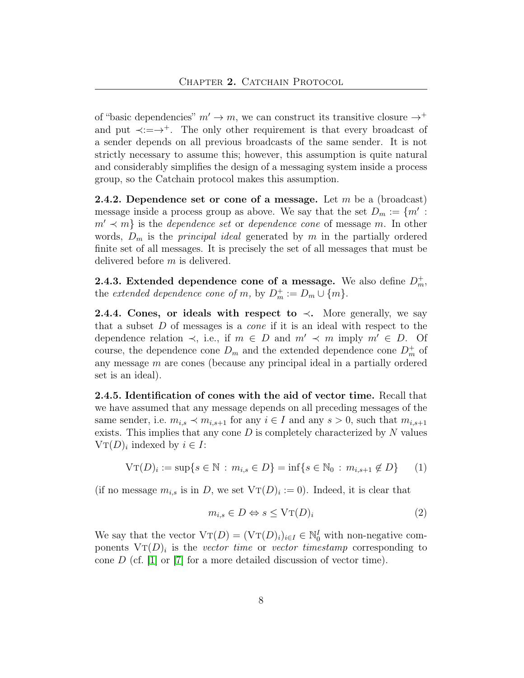of "basic dependencies"  $m' \rightarrow m$ , we can construct its transitive closure  $\rightarrow^+$ and put  $\prec := \rightarrow^+$ . The only other requirement is that every broadcast of a sender depends on all previous broadcasts of the same sender. It is not strictly necessary to assume this; however, this assumption is quite natural and considerably simplifies the design of a messaging system inside a process group, so the Catchain protocol makes this assumption.

**2.4.2.** Dependence set or cone of a message. Let  $m$  be a (broadcast) message inside a process group as above. We say that the set  $D_m := \{m' :$  $m' \prec m$  is the *dependence set* or *dependence cone* of message m. In other words,  $D_m$  is the *principal ideal* generated by m in the partially ordered finite set of all messages. It is precisely the set of all messages that must be delivered before  $m$  is delivered.

<span id="page-7-0"></span>2.4.3. Extended dependence cone of a message. We also define  $D_m^+$ , the extended dependence cone of m, by  $D_m^+ := D_m \cup \{m\}.$ 

2.4.4. Cones, or ideals with respect to  $\prec$ . More generally, we say that a subset D of messages is a cone if it is an ideal with respect to the dependence relation  $\prec$ , i.e., if  $m \in D$  and  $m' \prec m$  imply  $m' \in D$ . Of course, the dependence cone  $D_m$  and the extended dependence cone  $D_m^+$  of any message m are cones (because any principal ideal in a partially ordered set is an ideal).

2.4.5. Identification of cones with the aid of vector time. Recall that we have assumed that any message depends on all preceding messages of the same sender, i.e.  $m_{i,s} \prec m_{i,s+1}$  for any  $i \in I$  and any  $s > 0$ , such that  $m_{i,s+1}$ exists. This implies that any cone  $D$  is completely characterized by  $N$  values  $VT(D)_i$  indexed by  $i \in I$ :

$$
V\mathbf{T}(D)_i := \sup\{s \in \mathbb{N} : m_{i,s} \in D\} = \inf\{s \in \mathbb{N}_0 : m_{i,s+1} \notin D\} \tag{1}
$$

(if no message  $m_{i,s}$  is in D, we set  $VT(D)_i := 0$ ). Indeed, it is clear that

$$
m_{i,s} \in D \Leftrightarrow s \le \text{VT}(D)_i \tag{2}
$$

We say that the vector  $\mathrm{VT}(D) = (\mathrm{VT}(D)_i)_{i \in I} \in \mathbb{N}_0^I$  with non-negative components  $V_T(D)_i$  is the vector time or vector timestamp corresponding to cone  $D$  (cf. [\[1\]](#page-38-4) or [\[7\]](#page-38-5) for a more detailed discussion of vector time).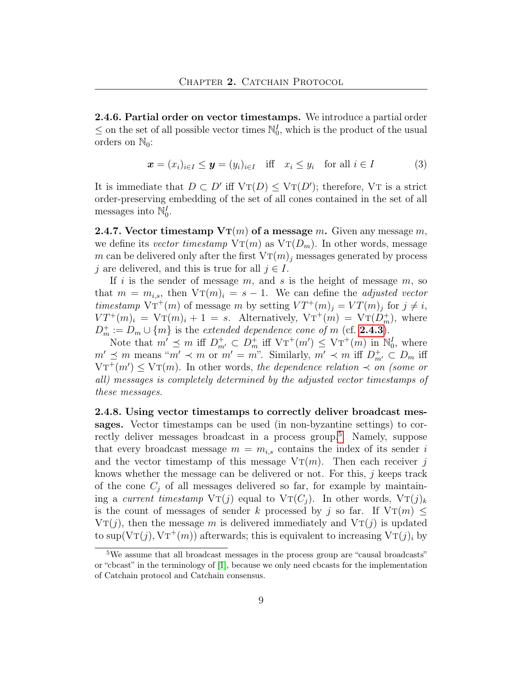2.4.6. Partial order on vector timestamps. We introduce a partial order  $\leq$  on the set of all possible vector times  $\mathbb{N}_0^I$ , which is the product of the usual orders on  $\mathbb{N}_0$ :

$$
\boldsymbol{x} = (x_i)_{i \in I} \le \boldsymbol{y} = (y_i)_{i \in I} \quad \text{iff} \quad x_i \le y_i \quad \text{for all } i \in I \tag{3}
$$

It is immediate that  $D \subset D'$  iff  $VT(D) \leq VT(D')$ ; therefore, VT is a strict order-preserving embedding of the set of all cones contained in the set of all messages into  $\mathbb{N}_0^I$ .

**2.4.7.** Vector timestamp  $V_{\text{T}}(m)$  of a message m. Given any message m, we define its vector timestamp  $V_{\text{T}}(m)$  as  $V_{\text{T}}(D_m)$ . In other words, message m can be delivered only after the first  $V_{\text{T}}(m)$  messages generated by process j are delivered, and this is true for all  $j \in I$ .

If i is the sender of message m, and s is the height of message m, so that  $m = m_{i,s}$ , then  $V_T(m)_i = s - 1$ . We can define the *adjusted vector* timestamp  $\mathrm{V} \mathrm{T}^+(m)$  of message m by setting  $\mathrm{V} \mathrm{T}^+(m)_j = \mathrm{V} \mathrm{T}(m)_j$  for  $j \neq i$ ,  $VT^+(m)_i = \mathrm{VT}(m)_i + 1 = s.$  Alternatively,  $\mathrm{VT}^+(m) = \mathrm{VT}(\tilde{D}_m^+)$ , where  $D_m^+ := D_m \cup \{m\}$  is the extended dependence cone of m (cf. **[2.4.3](#page-7-0)**).

Note that  $m' \preceq m$  iff  $D^+_{m'} \subset D^+_{m}$  iff  $VT^+(m') \leq VT^+(m)$  in  $\mathbb{N}_0^I$ , where  $m' \preceq m$  means " $m' \prec m$  or  $m' = m$ ". Similarly,  $m' \prec m$  iff  $D^+_{m'} \subset D_m$  iff  $\mathrm{V} \mathrm{T}^+(m') \leq \mathrm{V} \mathrm{T}(m)$ . In other words, the dependence relation  $\prec m$  (some or all) messages is completely determined by the adjusted vector timestamps of these messages.

2.4.8. Using vector timestamps to correctly deliver broadcast messages. Vector timestamps can be used (in non-byzantine settings) to cor-rectly deliver messages broadcast in a process group.<sup>[5](#page-8-0)</sup> Namely, suppose that every broadcast message  $m = m_{i,s}$  contains the index of its sender i and the vector timestamp of this message  $V_{\text{T}}(m)$ . Then each receiver j knows whether the message can be delivered or not. For this, j keeps track of the cone  $C_j$  of all messages delivered so far, for example by maintaining a current timestamp  $VT(j)$  equal to  $VT(C_j)$ . In other words,  $VT(j)_k$ is the count of messages of sender k processed by j so far. If  $V_T(m) \leq$  $V_{\text{T}}(i)$ , then the message m is delivered immediately and  $V_{\text{T}}(i)$  is updated to sup( $VT(j)$ ,  $VT^+(m)$ ) afterwards; this is equivalent to increasing  $VT(j)_i$  by

<span id="page-8-0"></span><sup>&</sup>lt;sup>5</sup>We assume that all broadcast messages in the process group are "causal broadcasts" or "cbcast" in the terminology of [\[1\]](#page-38-4), because we only need cbcasts for the implementation of Catchain protocol and Catchain consensus.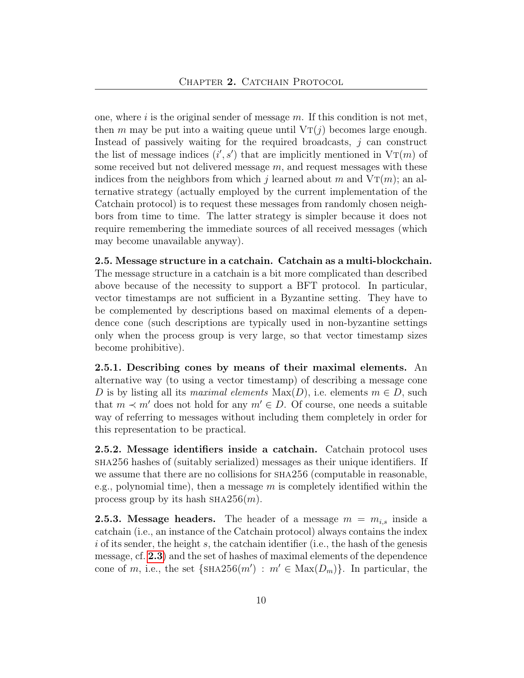one, where  $i$  is the original sender of message  $m$ . If this condition is not met, then m may be put into a waiting queue until  $VT(j)$  becomes large enough. Instead of passively waiting for the required broadcasts,  $j$  can construct the list of message indices  $(i', s')$  that are implicitly mentioned in  $V\mathcal{T}(m)$  of some received but not delivered message  $m$ , and request messages with these indices from the neighbors from which j learned about m and  $V_{T}(m)$ ; an alternative strategy (actually employed by the current implementation of the Catchain protocol) is to request these messages from randomly chosen neighbors from time to time. The latter strategy is simpler because it does not require remembering the immediate sources of all received messages (which may become unavailable anyway).

2.5. Message structure in a catchain. Catchain as a multi-blockchain. The message structure in a catchain is a bit more complicated than described above because of the necessity to support a BFT protocol. In particular, vector timestamps are not sufficient in a Byzantine setting. They have to be complemented by descriptions based on maximal elements of a dependence cone (such descriptions are typically used in non-byzantine settings only when the process group is very large, so that vector timestamp sizes become prohibitive).

2.5.1. Describing cones by means of their maximal elements. An alternative way (to using a vector timestamp) of describing a message cone D is by listing all its maximal elements Max $(D)$ , i.e. elements  $m \in D$ , such that  $m \prec m'$  does not hold for any  $m' \in D$ . Of course, one needs a suitable way of referring to messages without including them completely in order for this representation to be practical.

2.5.2. Message identifiers inside a catchain. Catchain protocol uses sha256 hashes of (suitably serialized) messages as their unique identifiers. If we assume that there are no collisions for SHA256 (computable in reasonable, e.g., polynomial time), then a message  $m$  is completely identified within the process group by its hash  $SHA256(m)$ .

<span id="page-9-0"></span>**2.5.3. Message headers.** The header of a message  $m = m_{i,s}$  inside a catchain (i.e., an instance of the Catchain protocol) always contains the index  $i$  of its sender, the height  $s$ , the catchain identifier (i.e., the hash of the genesis message, cf. [2.3](#page-5-0)) and the set of hashes of maximal elements of the dependence cone of m, i.e., the set  $\{SHA256(m') : m' \in Max(D_m)\}.$  In particular, the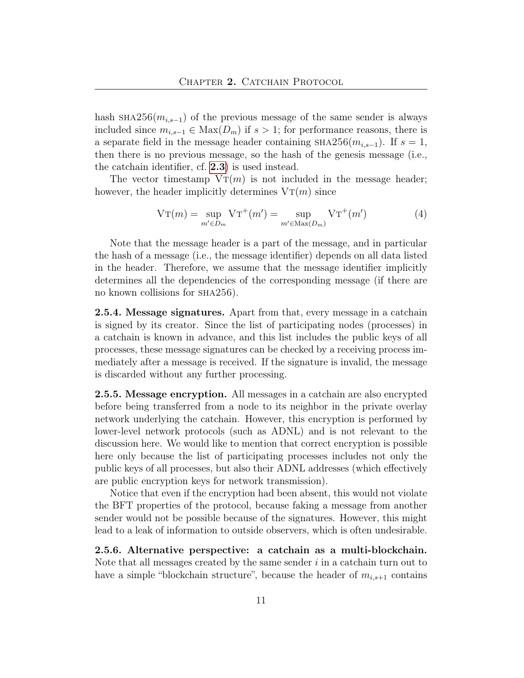hash  $\text{SHA256}(m_{i,s-1})$  of the previous message of the same sender is always included since  $m_{i,s-1}$  ∈ Max $(D_m)$  if  $s > 1$ ; for performance reasons, there is a separate field in the message header containing  $\text{SHA256}(m_{i,s-1})$ . If  $s=1$ , then there is no previous message, so the hash of the genesis message (i.e., the catchain identifier, cf. [2.3](#page-5-0)) is used instead.

The vector timestamp  $V_T(m)$  is not included in the message header; however, the header implicitly determines  $V_T(m)$  since

$$
\operatorname{VT}(m) = \sup_{m' \in D_m} \operatorname{VT}^+(m') = \sup_{m' \in \operatorname{Max}(D_m)} \operatorname{VT}^+(m') \tag{4}
$$

Note that the message header is a part of the message, and in particular the hash of a message (i.e., the message identifier) depends on all data listed in the header. Therefore, we assume that the message identifier implicitly determines all the dependencies of the corresponding message (if there are no known collisions for sha256).

2.5.4. Message signatures. Apart from that, every message in a catchain is signed by its creator. Since the list of participating nodes (processes) in a catchain is known in advance, and this list includes the public keys of all processes, these message signatures can be checked by a receiving process immediately after a message is received. If the signature is invalid, the message is discarded without any further processing.

2.5.5. Message encryption. All messages in a catchain are also encrypted before being transferred from a node to its neighbor in the private overlay network underlying the catchain. However, this encryption is performed by lower-level network protocols (such as ADNL) and is not relevant to the discussion here. We would like to mention that correct encryption is possible here only because the list of participating processes includes not only the public keys of all processes, but also their ADNL addresses (which effectively are public encryption keys for network transmission).

Notice that even if the encryption had been absent, this would not violate the BFT properties of the protocol, because faking a message from another sender would not be possible because of the signatures. However, this might lead to a leak of information to outside observers, which is often undesirable.

2.5.6. Alternative perspective: a catchain as a multi-blockchain. Note that all messages created by the same sender  $i$  in a catchain turn out to have a simple "blockchain structure", because the header of  $m_{i,s+1}$  contains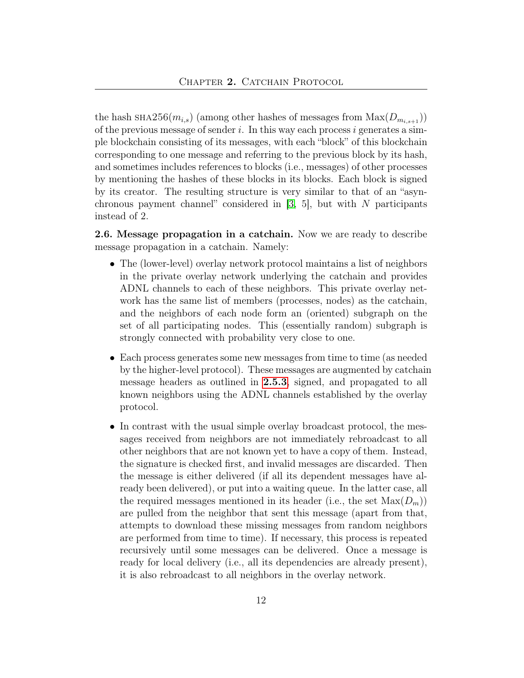the hash  $\text{SHA256}(m_{i,s})$  (among other hashes of messages from  $\text{Max}(D_{m_{i,s+1}})$ ) of the previous message of sender i. In this way each process i generates a simple blockchain consisting of its messages, with each "block" of this blockchain corresponding to one message and referring to the previous block by its hash, and sometimes includes references to blocks (i.e., messages) of other processes by mentioning the hashes of these blocks in its blocks. Each block is signed by its creator. The resulting structure is very similar to that of an "asynchronous payment channel" considered in  $[3, 5]$  $[3, 5]$ , but with N participants instead of 2.

<span id="page-11-0"></span>2.6. Message propagation in a catchain. Now we are ready to describe message propagation in a catchain. Namely:

- The (lower-level) overlay network protocol maintains a list of neighbors in the private overlay network underlying the catchain and provides ADNL channels to each of these neighbors. This private overlay network has the same list of members (processes, nodes) as the catchain, and the neighbors of each node form an (oriented) subgraph on the set of all participating nodes. This (essentially random) subgraph is strongly connected with probability very close to one.
- Each process generates some new messages from time to time (as needed by the higher-level protocol). These messages are augmented by catchain message headers as outlined in [2.5.3](#page-9-0), signed, and propagated to all known neighbors using the ADNL channels established by the overlay protocol.
- In contrast with the usual simple overlay broadcast protocol, the messages received from neighbors are not immediately rebroadcast to all other neighbors that are not known yet to have a copy of them. Instead, the signature is checked first, and invalid messages are discarded. Then the message is either delivered (if all its dependent messages have already been delivered), or put into a waiting queue. In the latter case, all the required messages mentioned in its header (i.e., the set  $Max(D_m)$ ) are pulled from the neighbor that sent this message (apart from that, attempts to download these missing messages from random neighbors are performed from time to time). If necessary, this process is repeated recursively until some messages can be delivered. Once a message is ready for local delivery (i.e., all its dependencies are already present), it is also rebroadcast to all neighbors in the overlay network.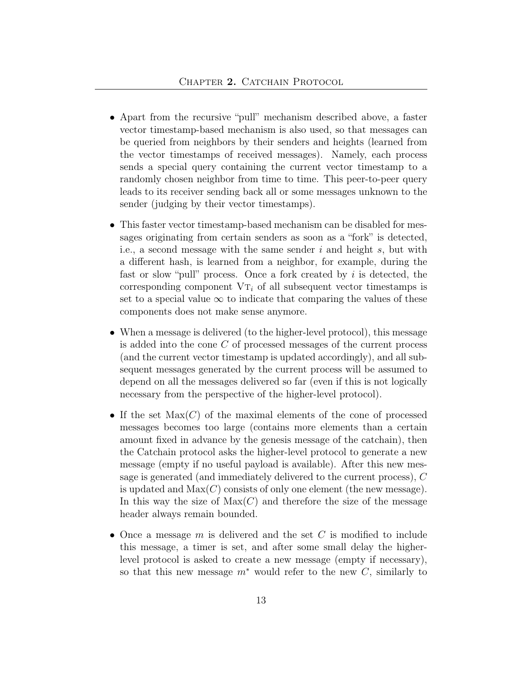- Apart from the recursive "pull" mechanism described above, a faster vector timestamp-based mechanism is also used, so that messages can be queried from neighbors by their senders and heights (learned from the vector timestamps of received messages). Namely, each process sends a special query containing the current vector timestamp to a randomly chosen neighbor from time to time. This peer-to-peer query leads to its receiver sending back all or some messages unknown to the sender (judging by their vector timestamps).
- This faster vector timestamp-based mechanism can be disabled for messages originating from certain senders as soon as a "fork" is detected, i.e., a second message with the same sender  $i$  and height  $s$ , but with a different hash, is learned from a neighbor, for example, during the fast or slow "pull" process. Once a fork created by  $i$  is detected, the corresponding component  $VT_i$  of all subsequent vector timestamps is set to a special value  $\infty$  to indicate that comparing the values of these components does not make sense anymore.
- When a message is delivered (to the higher-level protocol), this message is added into the cone C of processed messages of the current process (and the current vector timestamp is updated accordingly), and all subsequent messages generated by the current process will be assumed to depend on all the messages delivered so far (even if this is not logically necessary from the perspective of the higher-level protocol).
- If the set  $Max(C)$  of the maximal elements of the cone of processed messages becomes too large (contains more elements than a certain amount fixed in advance by the genesis message of the catchain), then the Catchain protocol asks the higher-level protocol to generate a new message (empty if no useful payload is available). After this new message is generated (and immediately delivered to the current process), C is updated and  $Max(C)$  consists of only one element (the new message). In this way the size of  $Max(C)$  and therefore the size of the message header always remain bounded.
- Once a message  $m$  is delivered and the set  $C$  is modified to include this message, a timer is set, and after some small delay the higherlevel protocol is asked to create a new message (empty if necessary), so that this new message  $m^*$  would refer to the new C, similarly to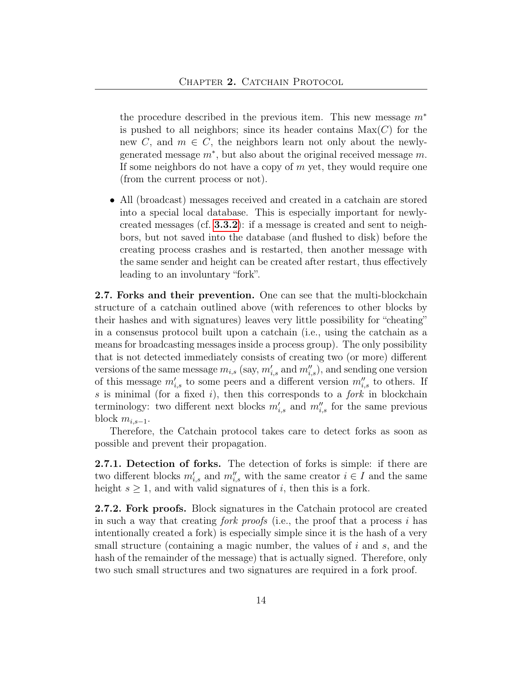the procedure described in the previous item. This new message  $m^*$ is pushed to all neighbors; since its header contains  $Max(C)$  for the new C, and  $m \in C$ , the neighbors learn not only about the newlygenerated message  $m^*$ , but also about the original received message  $m$ . If some neighbors do not have a copy of  $m$  yet, they would require one (from the current process or not).

• All (broadcast) messages received and created in a catchain are stored into a special local database. This is especially important for newlycreated messages (cf. [3.3.2](#page-21-0)): if a message is created and sent to neighbors, but not saved into the database (and flushed to disk) before the creating process crashes and is restarted, then another message with the same sender and height can be created after restart, thus effectively leading to an involuntary "fork".

2.7. Forks and their prevention. One can see that the multi-blockchain structure of a catchain outlined above (with references to other blocks by their hashes and with signatures) leaves very little possibility for "cheating" in a consensus protocol built upon a catchain (i.e., using the catchain as a means for broadcasting messages inside a process group). The only possibility that is not detected immediately consists of creating two (or more) different versions of the same message  $m_{i,s}$  (say,  $m'_{i,s}$  and  $m''_{i,s}$ ), and sending one version of this message  $m'_{i,s}$  to some peers and a different version  $m''_{i,s}$  to others. If s is minimal (for a fixed i), then this corresponds to a  $fork$  in blockchain terminology: two different next blocks  $m'_{i,s}$  and  $m''_{i,s}$  for the same previous block  $m_{i,s-1}$ .

Therefore, the Catchain protocol takes care to detect forks as soon as possible and prevent their propagation.

2.7.1. Detection of forks. The detection of forks is simple: if there are two different blocks  $m'_{i,s}$  and  $m''_{i,s}$  with the same creator  $i \in I$  and the same height  $s \geq 1$ , and with valid signatures of i, then this is a fork.

<span id="page-13-0"></span>2.7.2. Fork proofs. Block signatures in the Catchain protocol are created in such a way that creating *fork proofs* (i.e., the proof that a process i has intentionally created a fork) is especially simple since it is the hash of a very small structure (containing a magic number, the values of  $i$  and  $s$ , and the hash of the remainder of the message) that is actually signed. Therefore, only two such small structures and two signatures are required in a fork proof.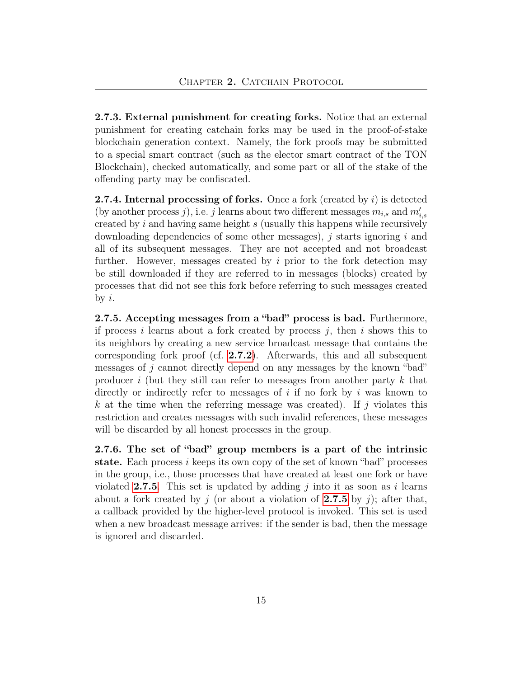2.7.3. External punishment for creating forks. Notice that an external punishment for creating catchain forks may be used in the proof-of-stake blockchain generation context. Namely, the fork proofs may be submitted to a special smart contract (such as the elector smart contract of the TON Blockchain), checked automatically, and some part or all of the stake of the offending party may be confiscated.

**2.7.4. Internal processing of forks.** Once a fork (created by  $i$ ) is detected (by another process j), i.e. j learns about two different messages  $m_{i,s}$  and  $m'_{i,s}$ created by i and having same height s (usually this happens while recursively downloading dependencies of some other messages),  $i$  starts ignoring  $i$  and all of its subsequent messages. They are not accepted and not broadcast further. However, messages created by  $i$  prior to the fork detection may be still downloaded if they are referred to in messages (blocks) created by processes that did not see this fork before referring to such messages created by  $i$ .

<span id="page-14-0"></span>2.7.5. Accepting messages from a "bad" process is bad. Furthermore, if process i learns about a fork created by process j, then i shows this to its neighbors by creating a new service broadcast message that contains the corresponding fork proof (cf. [2.7.2](#page-13-0)). Afterwards, this and all subsequent messages of j cannot directly depend on any messages by the known "bad" producer i (but they still can refer to messages from another party  $k$  that directly or indirectly refer to messages of i if no fork by i was known to k at the time when the referring message was created). If j violates this restriction and creates messages with such invalid references, these messages will be discarded by all honest processes in the group.

<span id="page-14-1"></span>2.7.6. The set of "bad" group members is a part of the intrinsic state. Each process  $i$  keeps its own copy of the set of known "bad" processes in the group, i.e., those processes that have created at least one fork or have violated [2.7.5](#page-14-0). This set is updated by adding j into it as soon as i learns about a fork created by j (or about a violation of [2.7.5](#page-14-0) by j); after that, a callback provided by the higher-level protocol is invoked. This set is used when a new broadcast message arrives: if the sender is bad, then the message is ignored and discarded.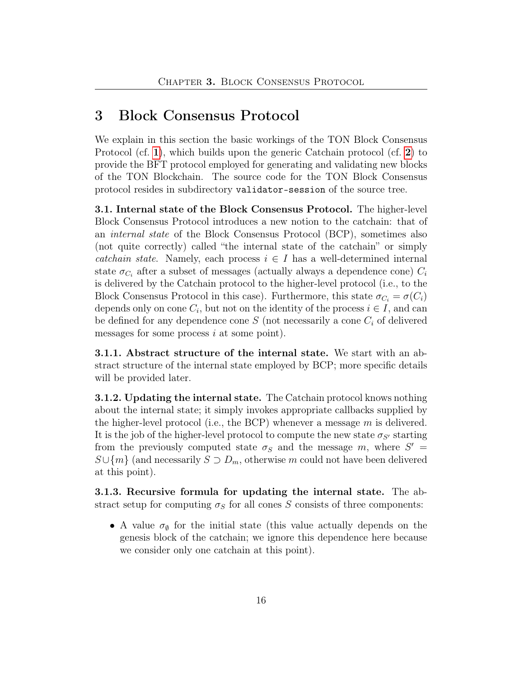### <span id="page-15-0"></span>3 Block Consensus Protocol

We explain in this section the basic workings of the TON Block Consensus Protocol (cf. [1](#page-1-0)), which builds upon the generic Catchain protocol (cf. [2](#page-4-0)) to provide the BFT protocol employed for generating and validating new blocks of the TON Blockchain. The source code for the TON Block Consensus protocol resides in subdirectory validator-session of the source tree.

<span id="page-15-1"></span>3.1. Internal state of the Block Consensus Protocol. The higher-level Block Consensus Protocol introduces a new notion to the catchain: that of an internal state of the Block Consensus Protocol (BCP), sometimes also (not quite correctly) called "the internal state of the catchain" or simply catchain state. Namely, each process  $i \in I$  has a well-determined internal state  $\sigma_{C_i}$  after a subset of messages (actually always a dependence cone)  $C_i$ is delivered by the Catchain protocol to the higher-level protocol (i.e., to the Block Consensus Protocol in this case). Furthermore, this state  $\sigma_{C_i} = \sigma(C_i)$ depends only on cone  $C_i$ , but not on the identity of the process  $i \in I$ , and can be defined for any dependence cone  $S$  (not necessarily a cone  $C_i$  of delivered messages for some process  $i$  at some point).

3.1.1. Abstract structure of the internal state. We start with an abstract structure of the internal state employed by BCP; more specific details will be provided later.

3.1.2. Updating the internal state. The Catchain protocol knows nothing about the internal state; it simply invokes appropriate callbacks supplied by the higher-level protocol (i.e., the BCP) whenever a message  $m$  is delivered. It is the job of the higher-level protocol to compute the new state  $\sigma_{S'}$  starting from the previously computed state  $\sigma_S$  and the message m, where  $S' =$  $S\cup\{m\}$  (and necessarily  $S\supset D_m$ , otherwise m could not have been delivered at this point).

3.1.3. Recursive formula for updating the internal state. The abstract setup for computing  $\sigma_S$  for all cones S consists of three components:

• A value  $\sigma_{\emptyset}$  for the initial state (this value actually depends on the genesis block of the catchain; we ignore this dependence here because we consider only one catchain at this point).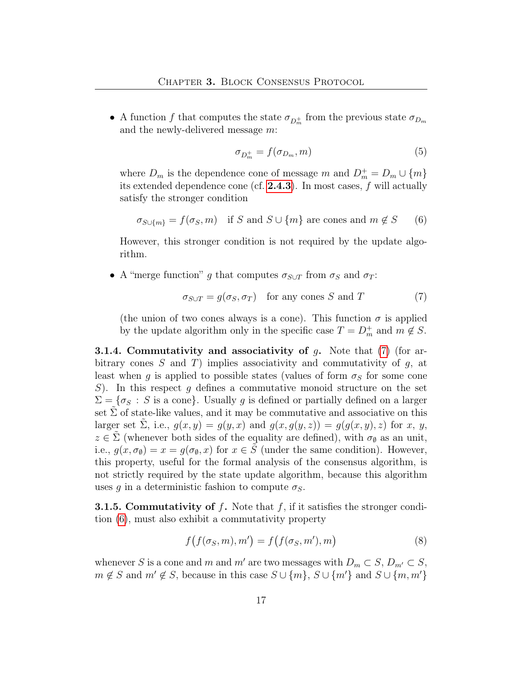• A function f that computes the state  $\sigma_{D_m^+}$  from the previous state  $\sigma_{D_m}$ and the newly-delivered message m:

<span id="page-16-4"></span>
$$
\sigma_{D_m^+} = f(\sigma_{D_m}, m) \tag{5}
$$

where  $D_m$  is the dependence cone of message m and  $D_m^+ = D_m \cup \{m\}$ its extended dependence cone (cf. [2.4.3](#page-7-0)). In most cases, f will actually satisfy the stronger condition

<span id="page-16-1"></span>
$$
\sigma_{S \cup \{m\}} = f(\sigma_S, m) \quad \text{if } S \text{ and } S \cup \{m\} \text{ are cones and } m \notin S \qquad (6)
$$

However, this stronger condition is not required by the update algorithm.

• A "merge function" g that computes  $\sigma_{S\cup T}$  from  $\sigma_S$  and  $\sigma_T$ :

<span id="page-16-0"></span>
$$
\sigma_{S \cup T} = g(\sigma_S, \sigma_T) \quad \text{for any cones } S \text{ and } T \tag{7}
$$

(the union of two cones always is a cone). This function  $\sigma$  is applied by the update algorithm only in the specific case  $T = D_m^+$  and  $m \notin S$ .

<span id="page-16-3"></span>**3.1.4. Commutativity and associativity of g.** Note that  $(7)$  (for arbitrary cones S and T) implies associativity and commutativity of  $g$ , at least when g is applied to possible states (values of form  $\sigma_S$  for some cone  $S$ ). In this respect g defines a commutative monoid structure on the set  $\Sigma = \{\sigma_S : S \text{ is a cone}\}\$ . Usually g is defined or partially defined on a larger set  $\Sigma$  of state-like values, and it may be commutative and associative on this larger set  $\Sigma$ , i.e.,  $g(x, y) = g(y, x)$  and  $g(x, g(y, z)) = g(g(x, y), z)$  for x, y,  $z \in \tilde{\Sigma}$  (whenever both sides of the equality are defined), with  $\sigma_{\emptyset}$  as an unit, i.e.,  $g(x, \sigma_{\emptyset}) = x = g(\sigma_{\emptyset}, x)$  for  $x \in S$  (under the same condition). However, this property, useful for the formal analysis of the consensus algorithm, is not strictly required by the state update algorithm, because this algorithm uses g in a deterministic fashion to compute  $\sigma_S$ .

**3.1.5. Commutativity of f.** Note that f, if it satisfies the stronger condition [\(6\)](#page-16-1), must also exhibit a commutativity property

<span id="page-16-2"></span>
$$
f(f(\sigma_S, m), m') = f(f(\sigma_S, m'), m)
$$
\n(8)

whenever S is a cone and m and m' are two messages with  $D_m \subset S$ ,  $D_{m'} \subset S$ ,  $m \notin S$  and  $m' \notin S$ , because in this case  $S \cup \{m\}$ ,  $S \cup \{m'\}$  and  $S \cup \{m, m'\}$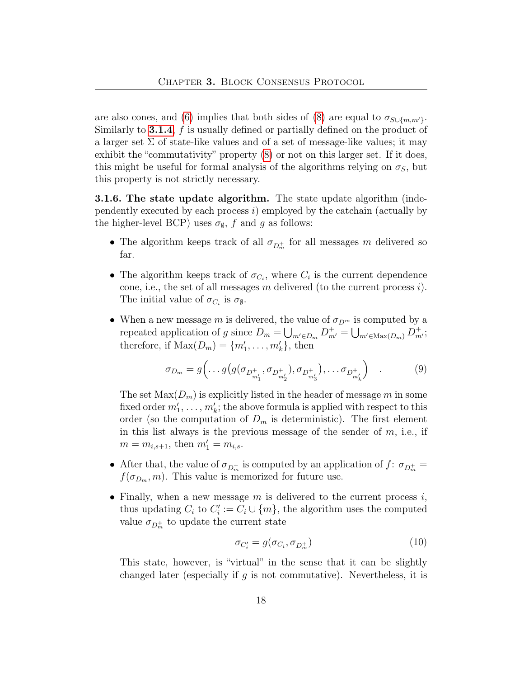are also cones, and [\(6\)](#page-16-1) implies that both sides of [\(8\)](#page-16-2) are equal to  $\sigma_{S \cup \{m,m'\}}$ . Similarly to [3.1.4](#page-16-3),  $f$  is usually defined or partially defined on the product of a larger set  $\Sigma$  of state-like values and of a set of message-like values; it may exhibit the "commutativity" property [\(8\)](#page-16-2) or not on this larger set. If it does, this might be useful for formal analysis of the algorithms relying on  $\sigma_S$ , but this property is not strictly necessary.

**3.1.6. The state update algorithm.** The state update algorithm (independently executed by each process  $i)$  employed by the catchain (actually by the higher-level BCP) uses  $\sigma_{\emptyset}$ , f and g as follows:

- The algorithm keeps track of all  $\sigma_{D_m^+}$  for all messages m delivered so far.
- The algorithm keeps track of  $\sigma_{C_i}$ , where  $C_i$  is the current dependence cone, i.e., the set of all messages m delivered (to the current process  $i$ ). The initial value of  $\sigma_{C_i}$  is  $\sigma_{\emptyset}$ .
- When a new message m is delivered, the value of  $\sigma_{D^m}$  is computed by a repeated application of g since  $D_m = \bigcup_{m' \in D_m} D^+_{m'} = \bigcup_{m' \in \text{Max}(D_m)} D^+_{m'};$ therefore, if  $\text{Max}(D_m) = \{m'_1, \ldots, m'_k\},\$  then

<span id="page-17-0"></span>
$$
\sigma_{D_m} = g\left(\dots g\left(g(\sigma_{D_{m'_1}}^+, \sigma_{D_{m'_2}}^+), \sigma_{D_{m'_3}}^+\right), \dots \sigma_{D_{m'_k}}^+\right) \tag{9}
$$

The set  $Max(D_m)$  is explicitly listed in the header of message m in some fixed order  $m'_1, \ldots, m'_k$ ; the above formula is applied with respect to this order (so the computation of  $D_m$  is deterministic). The first element in this list always is the previous message of the sender of  $m$ , i.e., if  $m = m_{i,s+1}$ , then  $m'_1 = m_{i,s}$ .

- After that, the value of  $\sigma_{D_m^+}$  is computed by an application of  $f: \sigma_{D_m^+} =$  $f(\sigma_{D_m}, m)$ . This value is memorized for future use.
- Finally, when a new message  $m$  is delivered to the current process  $i$ , thus updating  $C_i$  to  $C'_i := C_i \cup \{m\}$ , the algorithm uses the computed value  $\sigma_{D_m^+}$  to update the current state

$$
\sigma_{C_i'} = g(\sigma_{C_i}, \sigma_{D_m^+})
$$
\n(10)

This state, however, is "virtual" in the sense that it can be slightly changed later (especially if q is not commutative). Nevertheless, it is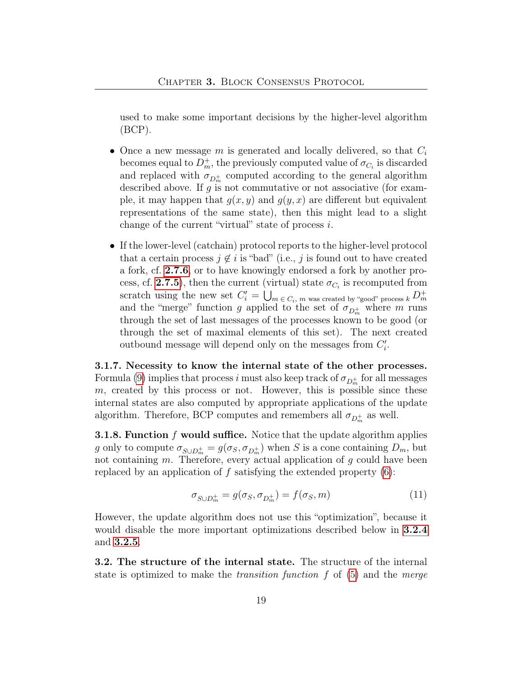used to make some important decisions by the higher-level algorithm  $(BCP)$ .

- Once a new message m is generated and locally delivered, so that  $C_i$ becomes equal to  $D_m^+$ , the previously computed value of  $\sigma_{C_i}$  is discarded and replaced with  $\sigma_{D_m^+}$  computed according to the general algorithm described above. If  $g$  is not commutative or not associative (for example, it may happen that  $g(x, y)$  and  $g(y, x)$  are different but equivalent representations of the same state), then this might lead to a slight change of the current "virtual" state of process i.
- If the lower-level (catchain) protocol reports to the higher-level protocol that a certain process  $j \notin i$  is "bad" (i.e., j is found out to have created a fork, cf. [2.7.6](#page-14-1), or to have knowingly endorsed a fork by another pro-cess, cf. [2.7.5](#page-14-0)), then the current (virtual) state  $\sigma_{C_i}$  is recomputed from scratch using the new set  $C_i' = \bigcup_{m \in C_i, m \text{ was created by "good" process } k} D_m^+$ and the "merge" function g applied to the set of  $\sigma_{D_m^+}$  where m runs through the set of last messages of the processes known to be good (or through the set of maximal elements of this set). The next created outbound message will depend only on the messages from  $C_i'$ .

3.1.7. Necessity to know the internal state of the other processes. Formula [\(9\)](#page-17-0) implies that process  $i$  must also keep track of  $\sigma_{D_m^+}$  for all messages  $m$ , created by this process or not. However, this is possible since these internal states are also computed by appropriate applications of the update algorithm. Therefore, BCP computes and remembers all  $\sigma_{D_m^+}$  as well.

**3.1.8. Function f would suffice.** Notice that the update algorithm applies g only to compute  $\sigma_{S \cup D_m^+} = g(\sigma_S, \sigma_{D_m^+})$  when S is a cone containing  $D_m$ , but not containing  $m$ . Therefore, every actual application of  $g$  could have been replaced by an application of  $f$  satisfying the extended property  $(6)$ :

$$
\sigma_{S \cup D_m^+} = g(\sigma_S, \sigma_{D_m^+}) = f(\sigma_S, m) \tag{11}
$$

However, the update algorithm does not use this "optimization", because it would disable the more important optimizations described below in [3.2.4](#page-19-0) and [3.2.5](#page-20-0).

3.2. The structure of the internal state. The structure of the internal state is optimized to make the *transition function*  $f$  of  $(5)$  and the *merge*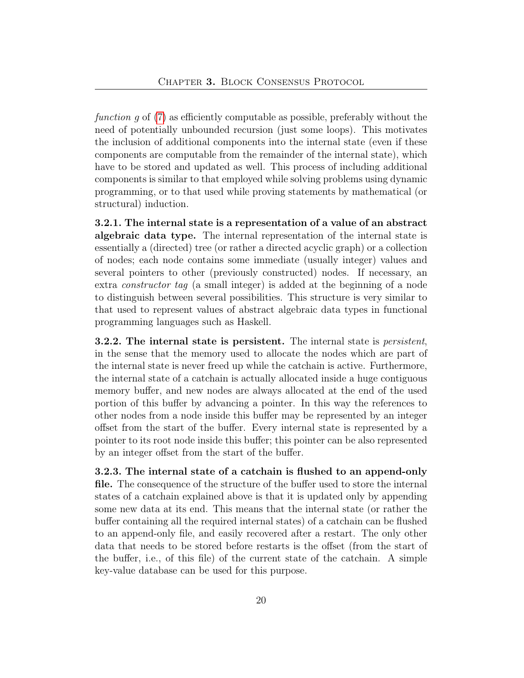function g of [\(7\)](#page-16-0) as efficiently computable as possible, preferably without the need of potentially unbounded recursion (just some loops). This motivates the inclusion of additional components into the internal state (even if these components are computable from the remainder of the internal state), which have to be stored and updated as well. This process of including additional components is similar to that employed while solving problems using dynamic programming, or to that used while proving statements by mathematical (or structural) induction.

<span id="page-19-1"></span>3.2.1. The internal state is a representation of a value of an abstract algebraic data type. The internal representation of the internal state is essentially a (directed) tree (or rather a directed acyclic graph) or a collection of nodes; each node contains some immediate (usually integer) values and several pointers to other (previously constructed) nodes. If necessary, an extra constructor tag (a small integer) is added at the beginning of a node to distinguish between several possibilities. This structure is very similar to that used to represent values of abstract algebraic data types in functional programming languages such as Haskell.

**3.2.2.** The internal state is persistent. The internal state is *persistent*, in the sense that the memory used to allocate the nodes which are part of the internal state is never freed up while the catchain is active. Furthermore, the internal state of a catchain is actually allocated inside a huge contiguous memory buffer, and new nodes are always allocated at the end of the used portion of this buffer by advancing a pointer. In this way the references to other nodes from a node inside this buffer may be represented by an integer offset from the start of the buffer. Every internal state is represented by a pointer to its root node inside this buffer; this pointer can be also represented by an integer offset from the start of the buffer.

<span id="page-19-2"></span><span id="page-19-0"></span>3.2.3. The internal state of a catchain is flushed to an append-only file. The consequence of the structure of the buffer used to store the internal states of a catchain explained above is that it is updated only by appending some new data at its end. This means that the internal state (or rather the buffer containing all the required internal states) of a catchain can be flushed to an append-only file, and easily recovered after a restart. The only other data that needs to be stored before restarts is the offset (from the start of the buffer, i.e., of this file) of the current state of the catchain. A simple key-value database can be used for this purpose.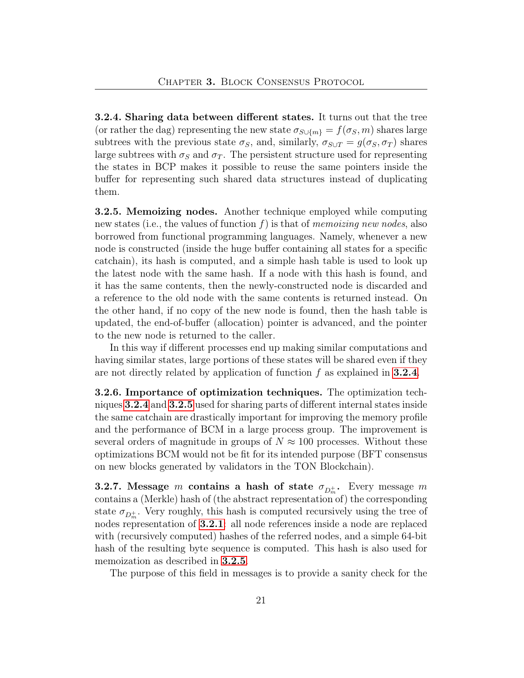3.2.4. Sharing data between different states. It turns out that the tree (or rather the dag) representing the new state  $\sigma_{S\cup\{m\}} = f(\sigma_S, m)$  shares large subtrees with the previous state  $\sigma_S$ , and, similarly,  $\sigma_{S\cup T} = g(\sigma_S, \sigma_T)$  shares large subtrees with  $\sigma_S$  and  $\sigma_T$ . The persistent structure used for representing the states in BCP makes it possible to reuse the same pointers inside the buffer for representing such shared data structures instead of duplicating them.

<span id="page-20-0"></span>3.2.5. Memoizing nodes. Another technique employed while computing new states (i.e., the values of function f) is that of memoizing new nodes, also borrowed from functional programming languages. Namely, whenever a new node is constructed (inside the huge buffer containing all states for a specific catchain), its hash is computed, and a simple hash table is used to look up the latest node with the same hash. If a node with this hash is found, and it has the same contents, then the newly-constructed node is discarded and a reference to the old node with the same contents is returned instead. On the other hand, if no copy of the new node is found, then the hash table is updated, the end-of-buffer (allocation) pointer is advanced, and the pointer to the new node is returned to the caller.

In this way if different processes end up making similar computations and having similar states, large portions of these states will be shared even if they are not directly related by application of function  $f$  as explained in [3.2.4](#page-19-0).

3.2.6. Importance of optimization techniques. The optimization techniques [3.2.4](#page-19-0) and [3.2.5](#page-20-0) used for sharing parts of different internal states inside the same catchain are drastically important for improving the memory profile and the performance of BCM in a large process group. The improvement is several orders of magnitude in groups of  $N \approx 100$  processes. Without these optimizations BCM would not be fit for its intended purpose (BFT consensus on new blocks generated by validators in the TON Blockchain).

**3.2.7.** Message m contains a hash of state  $\sigma_{D_m^+}$ . Every message m contains a (Merkle) hash of (the abstract representation of) the corresponding state  $\sigma_{D_m^+}$ . Very roughly, this hash is computed recursively using the tree of nodes representation of [3.2.1](#page-19-1): all node references inside a node are replaced with (recursively computed) hashes of the referred nodes, and a simple 64-bit hash of the resulting byte sequence is computed. This hash is also used for memoization as described in [3.2.5](#page-20-0).

The purpose of this field in messages is to provide a sanity check for the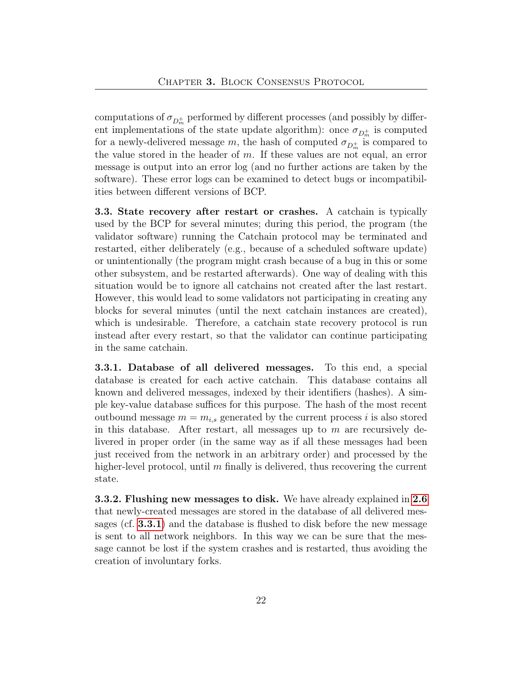computations of  $\sigma_{D_m^+}$  performed by different processes (and possibly by different implementations of the state update algorithm): once  $\sigma_{D_m^+}$  is computed for a newly-delivered message  $m$ , the hash of computed  $\sigma_{D_m^+}$  is compared to the value stored in the header of  $m$ . If these values are not equal, an error message is output into an error log (and no further actions are taken by the software). These error logs can be examined to detect bugs or incompatibilities between different versions of BCP.

3.3. State recovery after restart or crashes. A catchain is typically used by the BCP for several minutes; during this period, the program (the validator software) running the Catchain protocol may be terminated and restarted, either deliberately (e.g., because of a scheduled software update) or unintentionally (the program might crash because of a bug in this or some other subsystem, and be restarted afterwards). One way of dealing with this situation would be to ignore all catchains not created after the last restart. However, this would lead to some validators not participating in creating any blocks for several minutes (until the next catchain instances are created), which is undesirable. Therefore, a catchain state recovery protocol is run instead after every restart, so that the validator can continue participating in the same catchain.

<span id="page-21-1"></span>3.3.1. Database of all delivered messages. To this end, a special database is created for each active catchain. This database contains all known and delivered messages, indexed by their identifiers (hashes). A simple key-value database suffices for this purpose. The hash of the most recent outbound message  $m = m_{i,s}$  generated by the current process i is also stored in this database. After restart, all messages up to  $m$  are recursively delivered in proper order (in the same way as if all these messages had been just received from the network in an arbitrary order) and processed by the higher-level protocol, until  $m$  finally is delivered, thus recovering the current state.

<span id="page-21-0"></span>3.3.2. Flushing new messages to disk. We have already explained in [2.6](#page-11-0) that newly-created messages are stored in the database of all delivered messages (cf. [3.3.1](#page-21-1)) and the database is flushed to disk before the new message is sent to all network neighbors. In this way we can be sure that the message cannot be lost if the system crashes and is restarted, thus avoiding the creation of involuntary forks.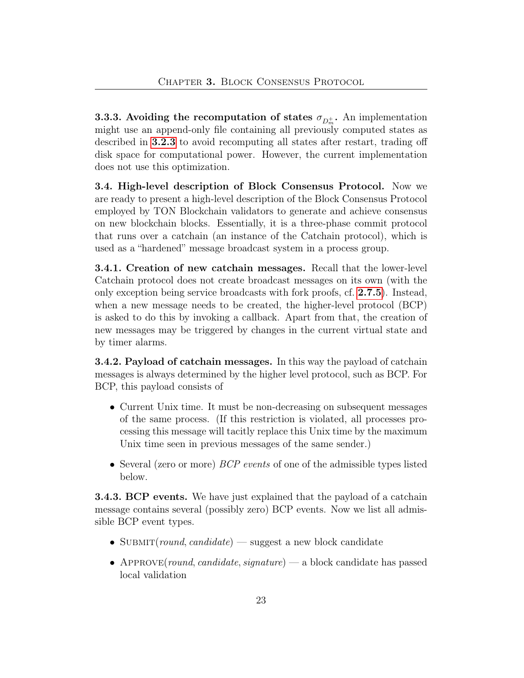**3.3.3.** Avoiding the recomputation of states  $\sigma_{D_m^+}$ . An implementation might use an append-only file containing all previously computed states as described in [3.2.3](#page-19-2) to avoid recomputing all states after restart, trading off disk space for computational power. However, the current implementation does not use this optimization.

<span id="page-22-1"></span>3.4. High-level description of Block Consensus Protocol. Now we are ready to present a high-level description of the Block Consensus Protocol employed by TON Blockchain validators to generate and achieve consensus on new blockchain blocks. Essentially, it is a three-phase commit protocol that runs over a catchain (an instance of the Catchain protocol), which is used as a "hardened" message broadcast system in a process group.

3.4.1. Creation of new catchain messages. Recall that the lower-level Catchain protocol does not create broadcast messages on its own (with the only exception being service broadcasts with fork proofs, cf. [2.7.5](#page-14-0)). Instead, when a new message needs to be created, the higher-level protocol (BCP) is asked to do this by invoking a callback. Apart from that, the creation of new messages may be triggered by changes in the current virtual state and by timer alarms.

<span id="page-22-0"></span>3.4.2. Payload of catchain messages. In this way the payload of catchain messages is always determined by the higher level protocol, such as BCP. For BCP, this payload consists of

- Current Unix time. It must be non-decreasing on subsequent messages of the same process. (If this restriction is violated, all processes processing this message will tacitly replace this Unix time by the maximum Unix time seen in previous messages of the same sender.)
- Several (zero or more) *BCP events* of one of the admissible types listed below.

**3.4.3. BCP events.** We have just explained that the payload of a catchain message contains several (possibly zero) BCP events. Now we list all admissible BCP event types.

- SUBMIT(round, candidate) suggest a new block candidate
- APPROVE(round, candidate, signature) a block candidate has passed local validation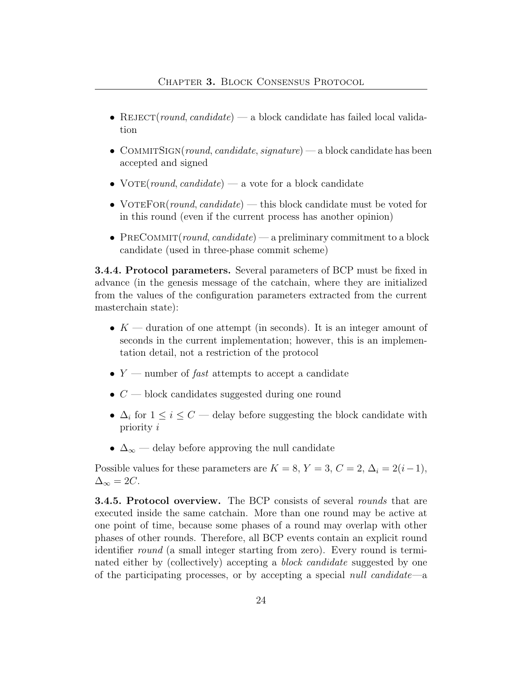- REJECT(round, candidate) a block candidate has failed local validation
- COMMITSIGN(round, candidate, signature) a block candidate has been accepted and signed
- VOTE(round, candidate) a vote for a block candidate
- VOTEFOR(round, candidate) this block candidate must be voted for in this round (even if the current process has another opinion)
- PRECOMMIT(round, candidate) a preliminary commitment to a block candidate (used in three-phase commit scheme)

3.4.4. Protocol parameters. Several parameters of BCP must be fixed in advance (in the genesis message of the catchain, where they are initialized from the values of the configuration parameters extracted from the current masterchain state):

- $K$  duration of one attempt (in seconds). It is an integer amount of seconds in the current implementation; however, this is an implementation detail, not a restriction of the protocol
- $Y$  number of *fast* attempts to accept a candidate
- $C$  block candidates suggested during one round
- $\Delta_i$  for  $1 \leq i \leq C$  delay before suggesting the block candidate with priority i
- $\Delta_{\infty}$  delay before approving the null candidate

Possible values for these parameters are  $K = 8$ ,  $Y = 3$ ,  $C = 2$ ,  $\Delta_i = 2(i-1)$ ,  $\Delta_{\infty} = 2C.$ 

**3.4.5. Protocol overview.** The BCP consists of several *rounds* that are executed inside the same catchain. More than one round may be active at one point of time, because some phases of a round may overlap with other phases of other rounds. Therefore, all BCP events contain an explicit round identifier round (a small integer starting from zero). Every round is terminated either by (collectively) accepting a *block candidate* suggested by one of the participating processes, or by accepting a special null candidate—a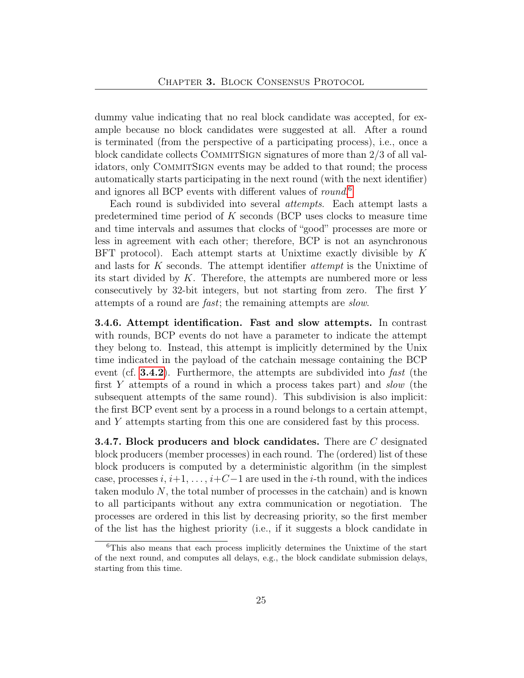dummy value indicating that no real block candidate was accepted, for example because no block candidates were suggested at all. After a round is terminated (from the perspective of a participating process), i.e., once a block candidate collects COMMITSIGN signatures of more than  $2/3$  of all validators, only COMMITSIGN events may be added to that round; the process automatically starts participating in the next round (with the next identifier) and ignores all BCP events with different values of round.<sup>[6](#page-24-0)</sup>

Each round is subdivided into several *attempts*. Each attempt lasts a predetermined time period of  $K$  seconds (BCP uses clocks to measure time and time intervals and assumes that clocks of "good" processes are more or less in agreement with each other; therefore, BCP is not an asynchronous BFT protocol). Each attempt starts at Unixtime exactly divisible by  $K$ and lasts for  $K$  seconds. The attempt identifier *attempt* is the Unixtime of its start divided by  $K$ . Therefore, the attempts are numbered more or less consecutively by 32-bit integers, but not starting from zero. The first Y attempts of a round are fast; the remaining attempts are slow.

3.4.6. Attempt identification. Fast and slow attempts. In contrast with rounds, BCP events do not have a parameter to indicate the attempt they belong to. Instead, this attempt is implicitly determined by the Unix time indicated in the payload of the catchain message containing the BCP event (cf.  $3.4.2$ ). Furthermore, the attempts are subdivided into fast (the first Y attempts of a round in which a process takes part) and slow (the subsequent attempts of the same round). This subdivision is also implicit: the first BCP event sent by a process in a round belongs to a certain attempt, and Y attempts starting from this one are considered fast by this process.

**3.4.7. Block producers and block candidates.** There are  $C$  designated block producers (member processes) in each round. The (ordered) list of these block producers is computed by a deterministic algorithm (in the simplest case, processes  $i, i+1, \ldots, i+C-1$  are used in the *i*-th round, with the indices taken modulo N, the total number of processes in the catchain) and is known to all participants without any extra communication or negotiation. The processes are ordered in this list by decreasing priority, so the first member of the list has the highest priority (i.e., if it suggests a block candidate in

<span id="page-24-0"></span><sup>6</sup>This also means that each process implicitly determines the Unixtime of the start of the next round, and computes all delays, e.g., the block candidate submission delays, starting from this time.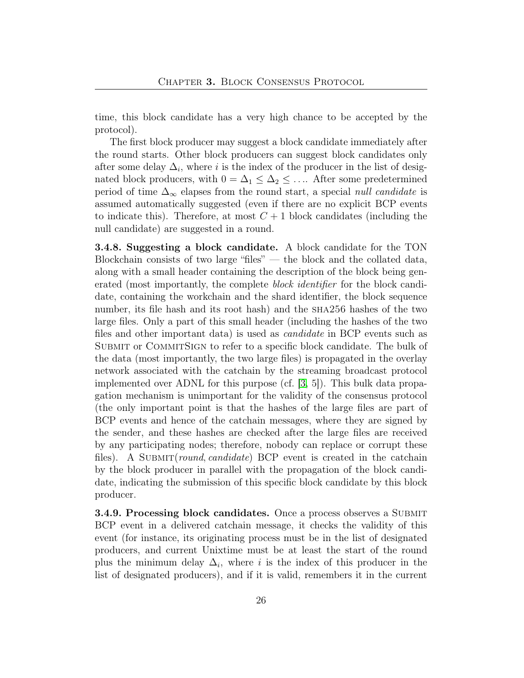time, this block candidate has a very high chance to be accepted by the protocol).

The first block producer may suggest a block candidate immediately after the round starts. Other block producers can suggest block candidates only after some delay  $\Delta_i$ , where i is the index of the producer in the list of designated block producers, with  $0 = \Delta_1 \leq \Delta_2 \leq \ldots$  After some predetermined period of time  $\Delta_{\infty}$  elapses from the round start, a special *null candidate* is assumed automatically suggested (even if there are no explicit BCP events to indicate this). Therefore, at most  $C+1$  block candidates (including the null candidate) are suggested in a round.

3.4.8. Suggesting a block candidate. A block candidate for the TON Blockchain consists of two large "files" — the block and the collated data, along with a small header containing the description of the block being generated (most importantly, the complete *block identifier* for the block candidate, containing the workchain and the shard identifier, the block sequence number, its file hash and its root hash) and the  $SHA256$  hashes of the two large files. Only a part of this small header (including the hashes of the two files and other important data) is used as candidate in BCP events such as Submit or CommitSign to refer to a specific block candidate. The bulk of the data (most importantly, the two large files) is propagated in the overlay network associated with the catchain by the streaming broadcast protocol implemented over ADNL for this purpose (cf. [\[3,](#page-38-0) 5]). This bulk data propagation mechanism is unimportant for the validity of the consensus protocol (the only important point is that the hashes of the large files are part of BCP events and hence of the catchain messages, where they are signed by the sender, and these hashes are checked after the large files are received by any participating nodes; therefore, nobody can replace or corrupt these files). A SUBMIT(round, candidate) BCP event is created in the catchain by the block producer in parallel with the propagation of the block candidate, indicating the submission of this specific block candidate by this block producer.

**3.4.9. Processing block candidates.** Once a process observes a SUBMIT BCP event in a delivered catchain message, it checks the validity of this event (for instance, its originating process must be in the list of designated producers, and current Unixtime must be at least the start of the round plus the minimum delay  $\Delta_i$ , where i is the index of this producer in the list of designated producers), and if it is valid, remembers it in the current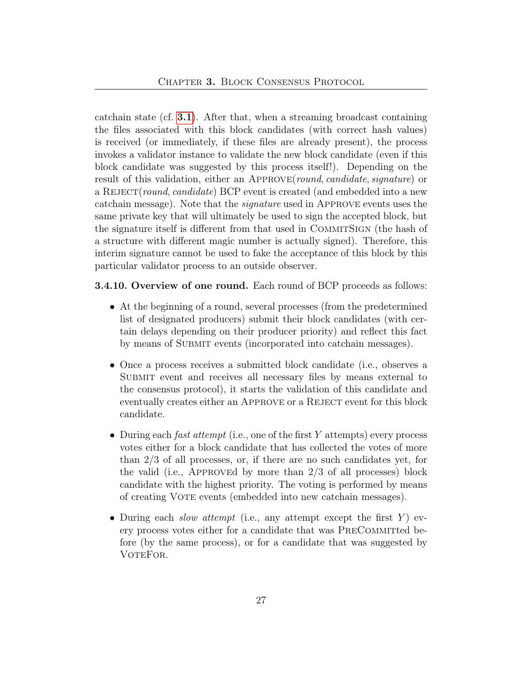catchain state (cf.  $3.1$ ). After that, when a streaming broadcast containing the files associated with this block candidates (with correct hash values) is received (or immediately, if these files are already present), the process invokes a validator instance to validate the new block candidate (even if this block candidate was suggested by this process itself!). Depending on the result of this validation, either an APPROVE(round, candidate, signature) or a REJECT(round, candidate) BCP event is created (and embedded into a new catchain message). Note that the signature used in Approve events uses the same private key that will ultimately be used to sign the accepted block, but the signature itself is different from that used in COMMITSIGN (the hash of a structure with different magic number is actually signed). Therefore, this interim signature cannot be used to fake the acceptance of this block by this particular validator process to an outside observer.

#### **3.4.10. Overview of one round.** Each round of BCP proceeds as follows:

- At the beginning of a round, several processes (from the predetermined list of designated producers) submit their block candidates (with certain delays depending on their producer priority) and reflect this fact by means of SUBMIT events (incorporated into catchain messages).
- Once a process receives a submitted block candidate (i.e., observes a Submit event and receives all necessary files by means external to the consensus protocol), it starts the validation of this candidate and eventually creates either an APPROVE or a REJECT event for this block candidate.
- During each *fast attempt* (i.e., one of the first Y attempts) every process votes either for a block candidate that has collected the votes of more than 2/3 of all processes, or, if there are no such candidates yet, for the valid (i.e., APPROVEd by more than  $2/3$  of all processes) block candidate with the highest priority. The voting is performed by means of creating Vote events (embedded into new catchain messages).
- During each *slow attempt* (i.e., any attempt except the first  $Y$ ) every process votes either for a candidate that was PreCommitted before (by the same process), or for a candidate that was suggested by VOTEFOR.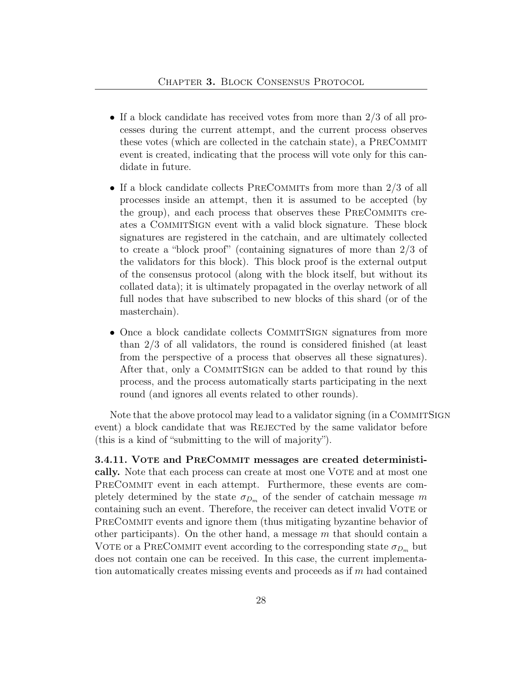- If a block candidate has received votes from more than 2/3 of all processes during the current attempt, and the current process observes these votes (which are collected in the catchain state), a PreCommit event is created, indicating that the process will vote only for this candidate in future.
- If a block candidate collects PRECOMMITS from more than  $2/3$  of all processes inside an attempt, then it is assumed to be accepted (by the group), and each process that observes these PRECOMMITS creates a COMMITSIGN event with a valid block signature. These block signatures are registered in the catchain, and are ultimately collected to create a "block proof" (containing signatures of more than 2/3 of the validators for this block). This block proof is the external output of the consensus protocol (along with the block itself, but without its collated data); it is ultimately propagated in the overlay network of all full nodes that have subscribed to new blocks of this shard (or of the masterchain).
- Once a block candidate collects COMMITSIGN signatures from more than 2/3 of all validators, the round is considered finished (at least from the perspective of a process that observes all these signatures). After that, only a COMMITSIGN can be added to that round by this process, and the process automatically starts participating in the next round (and ignores all events related to other rounds).

Note that the above protocol may lead to a validator signing (in a COMMITSIGN event) a block candidate that was REJECTed by the same validator before (this is a kind of "submitting to the will of majority").

#### <span id="page-27-0"></span>3.4.11. Vote and PreCommit messages are created deterministi-

cally. Note that each process can create at most one VOTE and at most one PRECOMMIT event in each attempt. Furthermore, these events are completely determined by the state  $\sigma_{D_m}$  of the sender of catchain message m containing such an event. Therefore, the receiver can detect invalid VOTE or PRECOMMIT events and ignore them (thus mitigating byzantine behavior of other participants). On the other hand, a message  $m$  that should contain a VOTE or a PRECOMMIT event according to the corresponding state  $\sigma_{D_m}$  but does not contain one can be received. In this case, the current implementation automatically creates missing events and proceeds as if m had contained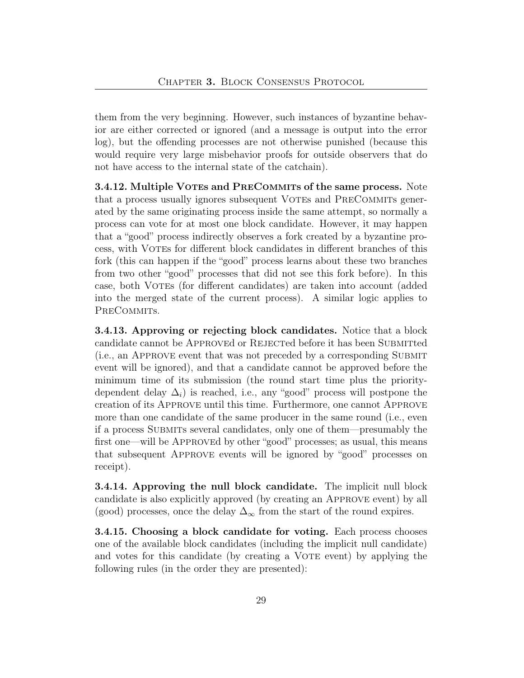them from the very beginning. However, such instances of byzantine behavior are either corrected or ignored (and a message is output into the error log), but the offending processes are not otherwise punished (because this would require very large misbehavior proofs for outside observers that do not have access to the internal state of the catchain).

<span id="page-28-0"></span>3.4.12. Multiple VOTEs and PRECOMMITS of the same process. Note that a process usually ignores subsequent VOTEs and PRECOMMITS generated by the same originating process inside the same attempt, so normally a process can vote for at most one block candidate. However, it may happen that a "good" process indirectly observes a fork created by a byzantine process, with VOTEs for different block candidates in different branches of this fork (this can happen if the "good" process learns about these two branches from two other "good" processes that did not see this fork before). In this case, both Votes (for different candidates) are taken into account (added into the merged state of the current process). A similar logic applies to PRECOMMITS.

3.4.13. Approving or rejecting block candidates. Notice that a block candidate cannot be APPROVEd or REJECTEd before it has been SUBMITted (i.e., an Approve event that was not preceded by a corresponding Submit event will be ignored), and that a candidate cannot be approved before the minimum time of its submission (the round start time plus the prioritydependent delay  $\Delta_i$ ) is reached, i.e., any "good" process will postpone the creation of its Approve until this time. Furthermore, one cannot Approve more than one candidate of the same producer in the same round (i.e., even if a process Submits several candidates, only one of them—presumably the first one—will be APPROVEd by other "good" processes; as usual, this means that subsequent Approve events will be ignored by "good" processes on receipt).

3.4.14. Approving the null block candidate. The implicit null block candidate is also explicitly approved (by creating an Approve event) by all (good) processes, once the delay  $\Delta_{\infty}$  from the start of the round expires.

<span id="page-28-1"></span>3.4.15. Choosing a block candidate for voting. Each process chooses one of the available block candidates (including the implicit null candidate) and votes for this candidate (by creating a VOTE event) by applying the following rules (in the order they are presented):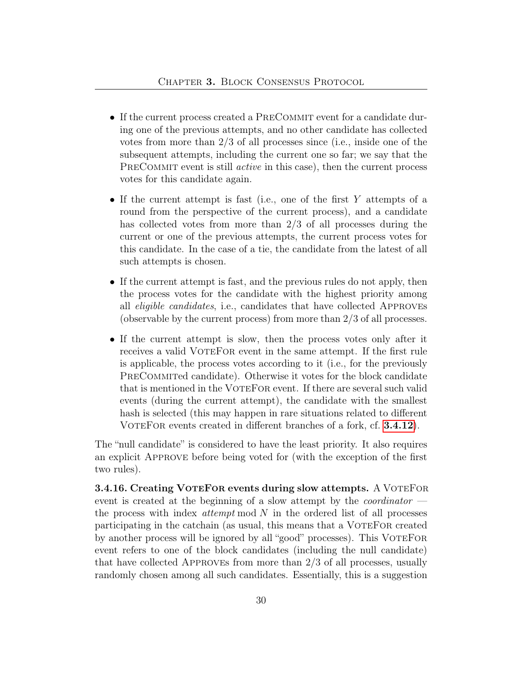- If the current process created a PRECOMMIT event for a candidate during one of the previous attempts, and no other candidate has collected votes from more than 2/3 of all processes since (i.e., inside one of the subsequent attempts, including the current one so far; we say that the PRECOMMIT event is still *active* in this case), then the current process votes for this candidate again.
- If the current attempt is fast (i.e., one of the first Y attempts of a round from the perspective of the current process), and a candidate has collected votes from more than 2/3 of all processes during the current or one of the previous attempts, the current process votes for this candidate. In the case of a tie, the candidate from the latest of all such attempts is chosen.
- If the current attempt is fast, and the previous rules do not apply, then the process votes for the candidate with the highest priority among all eligible candidates, i.e., candidates that have collected Approves (observable by the current process) from more than 2/3 of all processes.
- If the current attempt is slow, then the process votes only after it receives a valid VoteFor event in the same attempt. If the first rule is applicable, the process votes according to it (i.e., for the previously PRECOMMITED candidate). Otherwise it votes for the block candidate that is mentioned in the VoteFor event. If there are several such valid events (during the current attempt), the candidate with the smallest hash is selected (this may happen in rare situations related to different VOTEFOR events created in different branches of a fork, cf. **[3.4.12](#page-28-0)**).

The "null candidate" is considered to have the least priority. It also requires an explicit Approve before being voted for (with the exception of the first two rules).

3.4.16. Creating VOTEFOR events during slow attempts. A VOTEFOR event is created at the beginning of a slow attempt by the *coordinator* the process with index *attempt* mod  $N$  in the ordered list of all processes participating in the catchain (as usual, this means that a VoteFor created by another process will be ignored by all "good" processes). This VoteFor event refers to one of the block candidates (including the null candidate) that have collected Approves from more than 2/3 of all processes, usually randomly chosen among all such candidates. Essentially, this is a suggestion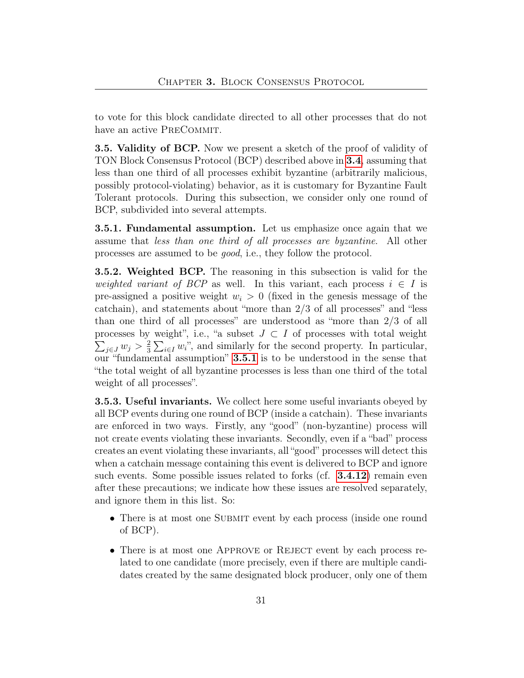to vote for this block candidate directed to all other processes that do not have an active PRECOMMIT.

**3.5. Validity of BCP.** Now we present a sketch of the proof of validity of TON Block Consensus Protocol (BCP) described above in [3.4](#page-22-1), assuming that less than one third of all processes exhibit byzantine (arbitrarily malicious, possibly protocol-violating) behavior, as it is customary for Byzantine Fault Tolerant protocols. During this subsection, we consider only one round of BCP, subdivided into several attempts.

<span id="page-30-0"></span>3.5.1. Fundamental assumption. Let us emphasize once again that we assume that less than one third of all processes are byzantine. All other processes are assumed to be good, i.e., they follow the protocol.

3.5.2. Weighted BCP. The reasoning in this subsection is valid for the weighted variant of BCP as well. In this variant, each process  $i \in I$  is pre-assigned a positive weight  $w_i > 0$  (fixed in the genesis message of the catchain), and statements about "more than 2/3 of all processes" and "less than one third of all processes" are understood as "more than 2/3 of all processes by weight", i.e., "a subset  $J \subset I$  of processes with total weight  $\sum_{j\in J} w_j > \frac{2}{3}$  $\frac{2}{3}\sum_{i\in I}w_i$ ", and similarly for the second property. In particular, our "fundamental assumption" [3.5.1](#page-30-0) is to be understood in the sense that "the total weight of all byzantine processes is less than one third of the total weight of all processes".

**3.5.3. Useful invariants.** We collect here some useful invariants obeyed by all BCP events during one round of BCP (inside a catchain). These invariants are enforced in two ways. Firstly, any "good" (non-byzantine) process will not create events violating these invariants. Secondly, even if a "bad" process creates an event violating these invariants, all "good" processes will detect this when a catchain message containing this event is delivered to BCP and ignore such events. Some possible issues related to forks  $(cf. 3.4.12)$  $(cf. 3.4.12)$  $(cf. 3.4.12)$  remain even after these precautions; we indicate how these issues are resolved separately, and ignore them in this list. So:

- There is at most one SUBMIT event by each process (inside one round of BCP).
- There is at most one APPROVE or REJECT event by each process related to one candidate (more precisely, even if there are multiple candidates created by the same designated block producer, only one of them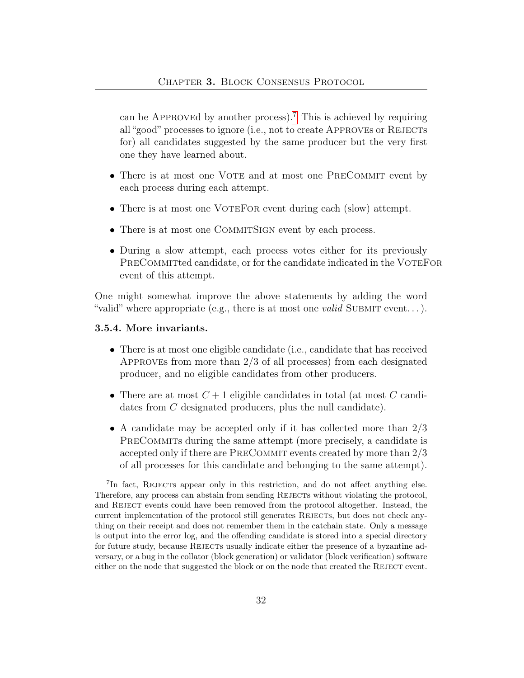can be APPROVEd by another process).<sup>[7](#page-31-0)</sup> This is achieved by requiring all "good" processes to ignore (i.e., not to create APPROVES or REJECTS for) all candidates suggested by the same producer but the very first one they have learned about.

- There is at most one VOTE and at most one PRECOMMIT event by each process during each attempt.
- There is at most one VOTEFOR event during each (slow) attempt.
- There is at most one COMMITSIGN event by each process.
- During a slow attempt, each process votes either for its previously PRECOMMITted candidate, or for the candidate indicated in the VOTEFOR event of this attempt.

One might somewhat improve the above statements by adding the word "valid" where appropriate (e.g., there is at most one *valid* SUBMIT event...).

#### <span id="page-31-1"></span>3.5.4. More invariants.

- There is at most one eligible candidate (i.e., candidate that has received Approves from more than 2/3 of all processes) from each designated producer, and no eligible candidates from other producers.
- There are at most  $C+1$  eligible candidates in total (at most C candidates from C designated producers, plus the null candidate).
- A candidate may be accepted only if it has collected more than  $2/3$ PRECOMMITS during the same attempt (more precisely, a candidate is accepted only if there are PRECOMMIT events created by more than  $2/3$ of all processes for this candidate and belonging to the same attempt).

<span id="page-31-0"></span><sup>&</sup>lt;sup>7</sup>In fact, REJECTs appear only in this restriction, and do not affect anything else. Therefore, any process can abstain from sending REJECTs without violating the protocol, and REJECT events could have been removed from the protocol altogether. Instead, the current implementation of the protocol still generates REJECTs, but does not check anything on their receipt and does not remember them in the catchain state. Only a message is output into the error log, and the offending candidate is stored into a special directory for future study, because REJECTs usually indicate either the presence of a byzantine adversary, or a bug in the collator (block generation) or validator (block verification) software either on the node that suggested the block or on the node that created the REJECT event.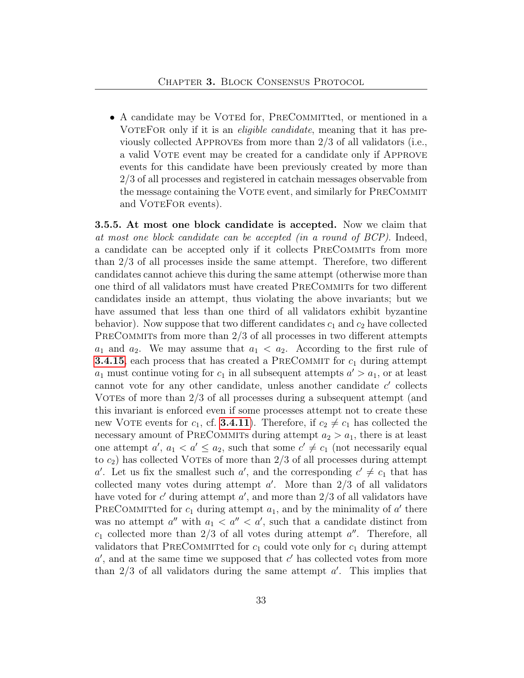• A candidate may be VOTEd for, PRECOMMITTED, or mentioned in a VOTEFOR only if it is an *eligible candidate*, meaning that it has previously collected APPROVEs from more than  $2/3$  of all validators (i.e., a valid VOTE event may be created for a candidate only if APPROVE events for this candidate have been previously created by more than 2/3 of all processes and registered in catchain messages observable from the message containing the VOTE event, and similarly for PRECOMMIT and VOTEFOR events).

<span id="page-32-0"></span>3.5.5. At most one block candidate is accepted. Now we claim that at most one block candidate can be accepted (in a round of BCP). Indeed, a candidate can be accepted only if it collects PRECOMMITS from more than 2/3 of all processes inside the same attempt. Therefore, two different candidates cannot achieve this during the same attempt (otherwise more than one third of all validators must have created PRECOMMITS for two different candidates inside an attempt, thus violating the above invariants; but we have assumed that less than one third of all validators exhibit byzantine behavior). Now suppose that two different candidates  $c_1$  and  $c_2$  have collected PRECOMMITS from more than  $2/3$  of all processes in two different attempts  $a_1$  and  $a_2$ . We may assume that  $a_1 < a_2$ . According to the first rule of **[3.4.15](#page-28-1)**, each process that has created a PRECOMMIT for  $c_1$  during attempt  $a_1$  must continue voting for  $c_1$  in all subsequent attempts  $a' > a_1$ , or at least cannot vote for any other candidate, unless another candidate  $c'$  collects VOTEs of more than 2/3 of all processes during a subsequent attempt (and this invariant is enforced even if some processes attempt not to create these new VOTE events for  $c_1$ , cf. **[3.4.11](#page-27-0)**). Therefore, if  $c_2 \neq c_1$  has collected the necessary amount of PRECOMMITS during attempt  $a_2 > a_1$ , there is at least one attempt  $a'$ ,  $a_1 < a' \le a_2$ , such that some  $c' \ne c_1$  (not necessarily equal to  $c_2$ ) has collected VOTEs of more than  $2/3$  of all processes during attempt a'. Let us fix the smallest such a', and the corresponding  $c' \neq c_1$  that has collected many votes during attempt  $a'$ . More than  $2/3$  of all validators have voted for  $c'$  during attempt  $a'$ , and more than  $2/3$  of all validators have PRECOMMITTE for  $c_1$  during attempt  $a_1$ , and by the minimality of a' there was no attempt  $a''$  with  $a_1 < a'' < a'$ , such that a candidate distinct from  $c_1$  collected more than  $2/3$  of all votes during attempt  $a''$ . Therefore, all validators that PRECOMMITTED for  $c_1$  could vote only for  $c_1$  during attempt  $a'$ , and at the same time we supposed that  $c'$  has collected votes from more than  $2/3$  of all validators during the same attempt  $a'$ . This implies that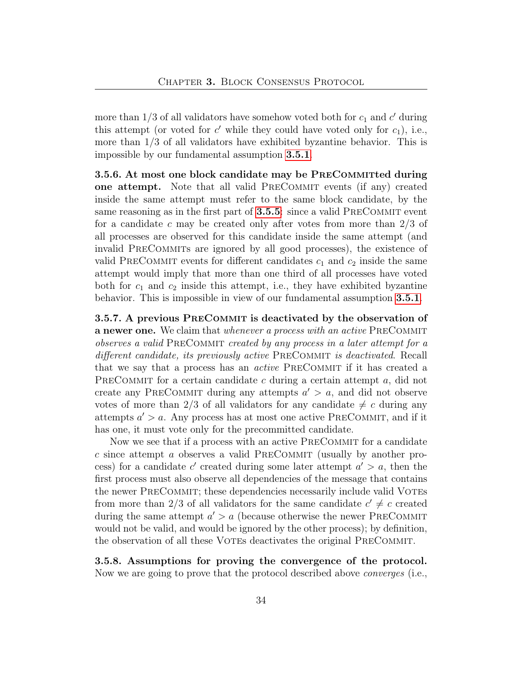more than  $1/3$  of all validators have somehow voted both for  $c_1$  and  $c'$  during this attempt (or voted for  $c'$  while they could have voted only for  $c_1$ ), i.e., more than 1/3 of all validators have exhibited byzantine behavior. This is impossible by our fundamental assumption [3.5.1](#page-30-0).

<span id="page-33-1"></span>3.5.6. At most one block candidate may be PreCommitted during one attempt. Note that all valid PRECOMMIT events (if any) created inside the same attempt must refer to the same block candidate, by the same reasoning as in the first part of **[3.5.5](#page-32-0)**: since a valid PRECOMMIT event for a candidate c may be created only after votes from more than  $2/3$  of all processes are observed for this candidate inside the same attempt (and invalid PRECOMMITS are ignored by all good processes), the existence of valid PRECOMMIT events for different candidates  $c_1$  and  $c_2$  inside the same attempt would imply that more than one third of all processes have voted both for  $c_1$  and  $c_2$  inside this attempt, i.e., they have exhibited byzantine behavior. This is impossible in view of our fundamental assumption [3.5.1](#page-30-0).

<span id="page-33-2"></span>3.5.7. A previous PRECOMMIT is deactivated by the observation of a newer one. We claim that whenever a process with an active PRECOMMIT observes a valid PRECOMMIT created by any process in a later attempt for a different candidate, its previously active PRECOMMIT is deactivated. Recall that we say that a process has an *active* PRECOMMIT if it has created a PRECOMMIT for a certain candidate  $c$  during a certain attempt  $a$ , did not create any PRECOMMIT during any attempts  $a' > a$ , and did not observe votes of more than 2/3 of all validators for any candidate  $\neq c$  during any attempts  $a' > a$ . Any process has at most one active PRECOMMIT, and if it has one, it must vote only for the precommitted candidate.

Now we see that if a process with an active PRECOMMIT for a candidate  $c$  since attempt a observes a valid PRECOMMIT (usually by another process) for a candidate c' created during some later attempt  $a' > a$ , then the first process must also observe all dependencies of the message that contains the newer PRECOMMIT; these dependencies necessarily include valid VOTEs from more than 2/3 of all validators for the same candidate  $c' \neq c$  created during the same attempt  $a' > a$  (because otherwise the newer PRECOMMIT would not be valid, and would be ignored by the other process); by definition, the observation of all these VOTEs deactivates the original PRECOMMIT.

<span id="page-33-0"></span>3.5.8. Assumptions for proving the convergence of the protocol. Now we are going to prove that the protocol described above converges (i.e.,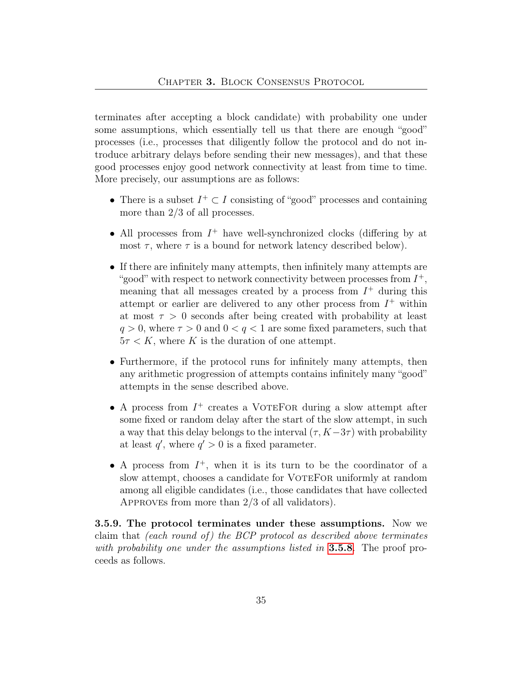terminates after accepting a block candidate) with probability one under some assumptions, which essentially tell us that there are enough "good" processes (i.e., processes that diligently follow the protocol and do not introduce arbitrary delays before sending their new messages), and that these good processes enjoy good network connectivity at least from time to time. More precisely, our assumptions are as follows:

- There is a subset  $I^+ \subset I$  consisting of "good" processes and containing more than 2/3 of all processes.
- All processes from  $I^+$  have well-synchronized clocks (differing by at most  $\tau$ , where  $\tau$  is a bound for network latency described below).
- If there are infinitely many attempts, then infinitely many attempts are "good" with respect to network connectivity between processes from  $I^+$ , meaning that all messages created by a process from  $I^+$  during this attempt or earlier are delivered to any other process from  $I^+$  within at most  $\tau > 0$  seconds after being created with probability at least  $q > 0$ , where  $\tau > 0$  and  $0 < q < 1$  are some fixed parameters, such that  $5\tau < K$ , where K is the duration of one attempt.
- Furthermore, if the protocol runs for infinitely many attempts, then any arithmetic progression of attempts contains infinitely many "good" attempts in the sense described above.
- $\bullet$  A process from  $I^+$  creates a VOTEFOR during a slow attempt after some fixed or random delay after the start of the slow attempt, in such a way that this delay belongs to the interval  $(\tau, K-3\tau)$  with probability at least  $q'$ , where  $q' > 0$  is a fixed parameter.
- A process from  $I^+$ , when it is its turn to be the coordinator of a slow attempt, chooses a candidate for VOTEFOR uniformly at random among all eligible candidates (i.e., those candidates that have collected Approves from more than 2/3 of all validators).

3.5.9. The protocol terminates under these assumptions. Now we claim that (each round of) the BCP protocol as described above terminates with probability one under the assumptions listed in **[3.5.8](#page-33-0)**. The proof proceeds as follows.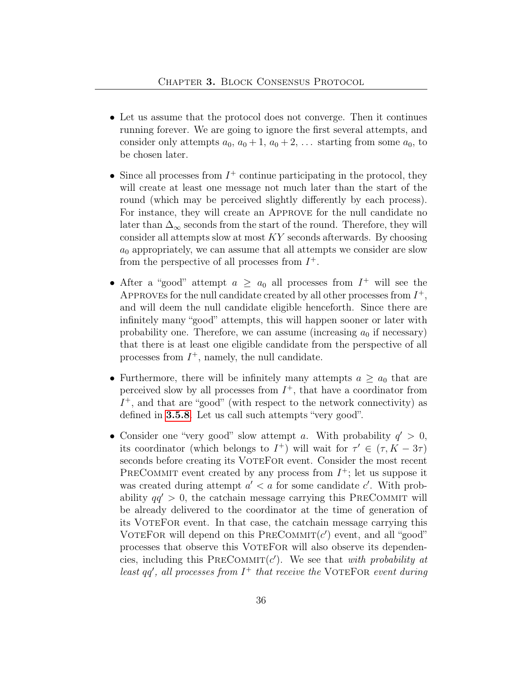- Let us assume that the protocol does not converge. Then it continues running forever. We are going to ignore the first several attempts, and consider only attempts  $a_0$ ,  $a_0 + 1$ ,  $a_0 + 2$ , ... starting from some  $a_0$ , to be chosen later.
- Since all processes from  $I^+$  continue participating in the protocol, they will create at least one message not much later than the start of the round (which may be perceived slightly differently by each process). For instance, they will create an Approve for the null candidate no later than  $\Delta_{\infty}$  seconds from the start of the round. Therefore, they will consider all attempts slow at most KY seconds afterwards. By choosing  $a_0$  appropriately, we can assume that all attempts we consider are slow from the perspective of all processes from  $I^+$ .
- After a "good" attempt  $a \ge a_0$  all processes from  $I^+$  will see the APPROVES for the null candidate created by all other processes from  $I^+$ , and will deem the null candidate eligible henceforth. Since there are infinitely many "good" attempts, this will happen sooner or later with probability one. Therefore, we can assume (increasing  $a_0$  if necessary) that there is at least one eligible candidate from the perspective of all processes from  $I^+$ , namely, the null candidate.
- Furthermore, there will be infinitely many attempts  $a \ge a_0$  that are perceived slow by all processes from  $I^+$ , that have a coordinator from  $I^+$ , and that are "good" (with respect to the network connectivity) as defined in [3.5.8](#page-33-0). Let us call such attempts "very good".
- Consider one "very good" slow attempt a. With probability  $q' > 0$ , its coordinator (which belongs to  $I^+$ ) will wait for  $\tau' \in (\tau, K - 3\tau)$ seconds before creating its VOTEFOR event. Consider the most recent PRECOMMIT event created by any process from  $I^+$ ; let us suppose it was created during attempt  $a' < a$  for some candidate  $c'$ . With probability  $qq' > 0$ , the catchain message carrying this PRECOMMIT will be already delivered to the coordinator at the time of generation of its VoteFor event. In that case, the catchain message carrying this VOTEFOR will depend on this PRECOMMIT $(c')$  event, and all "good" processes that observe this VOTEFOR will also observe its dependencies, including this  $PRECOMMIT(c')$ . We see that with probability at least  $qq'$ , all processes from  $I^+$  that receive the VOTEFOR event during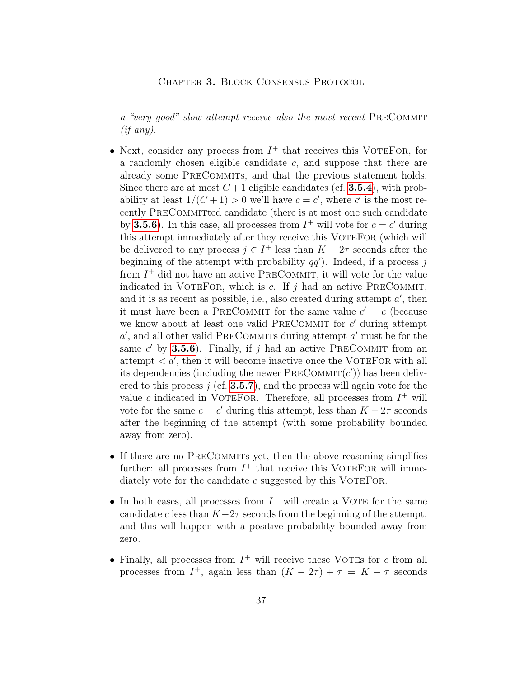a "very good" slow attempt receive also the most recent PRECOMMIT  $(if any).$ 

- Next, consider any process from  $I^+$  that receives this VOTEFOR, for a randomly chosen eligible candidate  $c$ , and suppose that there are already some PRECOMMITS, and that the previous statement holds. Since there are at most  $C+1$  eligible candidates (cf. **[3.5.4](#page-31-1)**), with probability at least  $1/(C+1) > 0$  we'll have  $c = c'$ , where c' is the most recently PRECOMMITTED candidate (there is at most one such candidate by [3.5.6](#page-33-1)). In this case, all processes from  $I^+$  will vote for  $c = c'$  during this attempt immediately after they receive this VOTEFOR (which will be delivered to any process  $j \in I^+$  less than  $K - 2\tau$  seconds after the beginning of the attempt with probability  $qq'$ ). Indeed, if a process j from  $I^+$  did not have an active PRECOMMIT, it will vote for the value indicated in VOTEFOR, which is c. If  $j$  had an active PRECOMMIT, and it is as recent as possible, i.e., also created during attempt  $a'$ , then it must have been a PRECOMMIT for the same value  $c' = c$  (because we know about at least one valid PRECOMMIT for  $c'$  during attempt  $a'$ , and all other valid PRECOMMITS during attempt  $a'$  must be for the same c' by **[3.5.6](#page-33-1)**). Finally, if j had an active PRECOMMIT from an attempt  $\langle a, a \rangle$ , then it will become inactive once the VOTEFOR with all its dependencies (including the newer  $\text{PreCOMMIT}(c')$ ) has been delivered to this process  $j$  (cf. **[3.5.7](#page-33-2)**), and the process will again vote for the value c indicated in VOTEFOR. Therefore, all processes from  $I^+$  will vote for the same  $c = c'$  during this attempt, less than  $K - 2\tau$  seconds after the beginning of the attempt (with some probability bounded away from zero).
- If there are no PRECOMMITS yet, then the above reasoning simplifies further: all processes from  $I^+$  that receive this VOTEFOR will immediately vote for the candidate  $c$  suggested by this VOTEFOR.
- In both cases, all processes from  $I^+$  will create a VOTE for the same candidate c less than  $K-2\tau$  seconds from the beginning of the attempt, and this will happen with a positive probability bounded away from zero.
- Finally, all processes from  $I^+$  will receive these VOTEs for c from all processes from  $I^+$ , again less than  $(K - 2\tau) + \tau = K - \tau$  seconds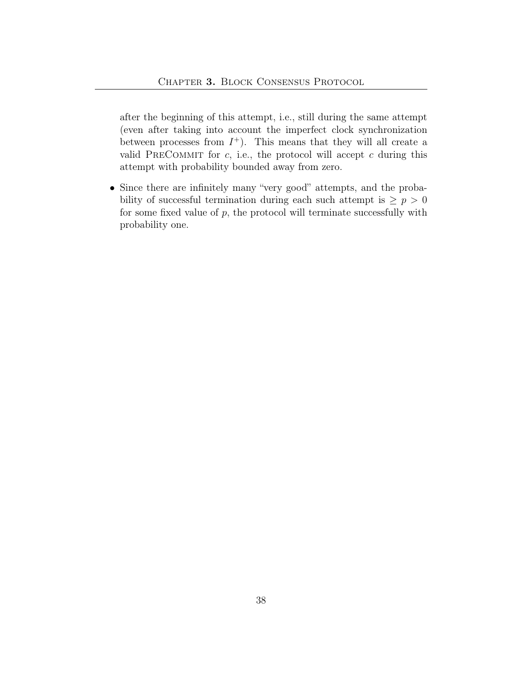after the beginning of this attempt, i.e., still during the same attempt (even after taking into account the imperfect clock synchronization between processes from  $I^+$ ). This means that they will all create a valid PRECOMMIT for  $c$ , i.e., the protocol will accept  $c$  during this attempt with probability bounded away from zero.

• Since there are infinitely many "very good" attempts, and the probability of successful termination during each such attempt is  $\geq p > 0$ for some fixed value of  $p$ , the protocol will terminate successfully with probability one.